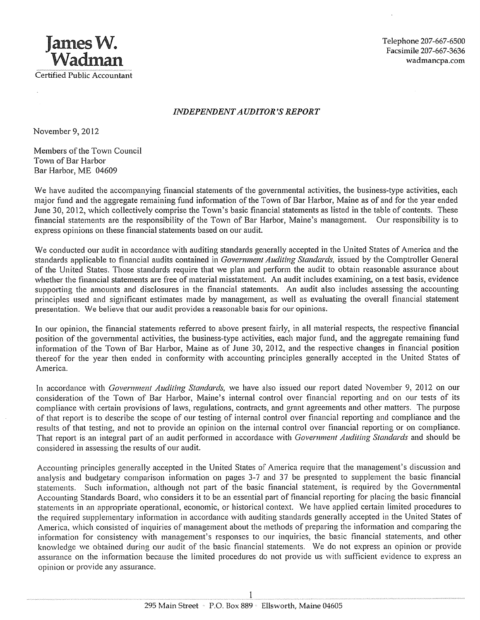

Telephone 207-667-6500 Facsimile 207-667-3636 wadmancpa.com

## **INDEPENDENT AUDITOR'S REPORT**

November 9, 2012

Members of the Town Council Town of Bar Harbor Bar Harbor, ME 04609

We have audited the accompanying financial statements of the governmental activities, the business-type activities, each major fund and the aggregate remaining fund information of the Town of Bar Harbor, Maine as of and for the year ended June 30, 2012, which collectively comprise the Town's basic financial statements as listed in the table of contents. These financial statements are the responsibility of the Town of Bar Harbor, Maine's management. Our responsibility is to express opinions on these financial statements based on our audit.

We conducted our audit in accordance with auditing standards generally accepted in the United States of America and the standards applicable to financial audits contained in Government Auditing Standards, issued by the Comptroller General of the United States. Those standards require that we plan and perform the audit to obtain reasonable assurance about whether the financial statements are free of material misstatement. An audit includes examining, on a test basis, evidence supporting the amounts and disclosures in the financial statements. An audit also includes assessing the accounting principles used and significant estimates made by management, as well as evaluating the overall financial statement presentation. We believe that our audit provides a reasonable basis for our opinions.

In our opinion, the financial statements referred to above present fairly, in all material respects, the respective financial position of the governmental activities, the business-type activities, each major fund, and the aggregate remaining fund information of the Town of Bar Harbor, Maine as of June 30, 2012, and the respective changes in financial position thereof for the year then ended in conformity with accounting principles generally accepted in the United States of America.

In accordance with Government Auditing Standards, we have also issued our report dated November 9, 2012 on our consideration of the Town of Bar Harbor, Maine's internal control over financial reporting and on our tests of its compliance with certain provisions of laws, regulations, contracts, and grant agreements and other matters. The purpose of that report is to describe the scope of our testing of internal control over financial reporting and compliance and the results of that testing, and not to provide an opinion on the internal control over financial reporting or on compliance. That report is an integral part of an audit performed in accordance with Government Auditing Standards and should be considered in assessing the results of our audit.

Accounting principles generally accepted in the United States of America require that the management's discussion and analysis and budgetary comparison information on pages 3-7 and 37 be presented to supplement the basic financial statements. Such information, although not part of the basic financial statement, is required by the Governmental Accounting Standards Board, who considers it to be an essential part of financial reporting for placing the basic financial statements in an appropriate operational, economic, or historical context. We have applied certain limited procedures to the required supplementary information in accordance with auditing standards generally accepted in the United States of America, which consisted of inquiries of management about the methods of preparing the information and comparing the information for consistency with management's responses to our inquiries, the basic financial statements, and other knowledge we obtained during our audit of the basic financial statements. We do not express an opinion or provide assurance on the information because the limited procedures do not provide us with sufficient evidence to express an opinion or provide any assurance.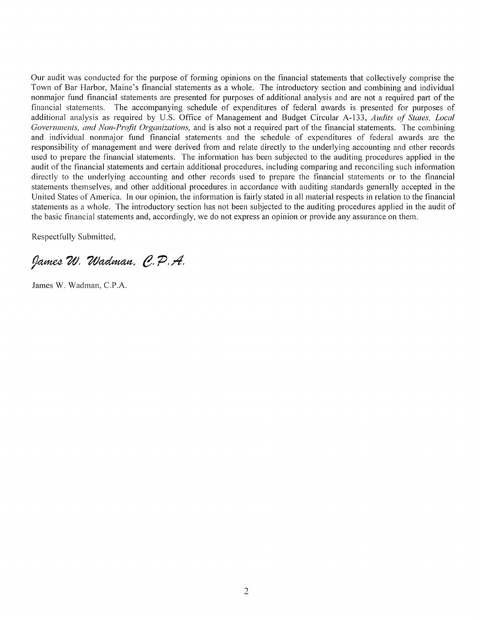Our audit was conducted for the purpose of forming opinions on the financial statements that collectively comprise the Town of Bar Harbor, Maine's financial statements as a whole. The introductory section and combining and individual nonmajor fund financial statements are presented for purposes of additional analysis and are not a required part of the financial statements. The accompanying schedule of expenditures of federal awards is presented for purposes of additional analysis as required by U.S. Office of Management and Budget Circular A-133, Audits of States, Local Governments, and Non-Profit Organizations, and is also not a required part of the financial statements. The combining and individual nonmajor fund financial statements and the schedule of expenditures of federal awards are the responsibility of management and were derived from and relate directly to the underlying accounting and other records used to prepare the financial statements. The information has been subjected to the auditing procedures applied in the audit of the financial statements and certain additional procedures, including comparing and reconciling such information directly to the underlying accounting and other records used to prepare the financial statements or to the financial statements themselves, and other additional procedures in accordance with auditing standards generally accepted in the United States of America. In our opinion, the information is fairly stated in all material respects in relation to the financial statements as a whole. The introductory section has not been subjected to the auditing procedures applied in the audit of the basic financial statements and, accordingly, we do not express an opinion or provide any assurance on them.

Respectfully Submitted,

James W. Wadman. C.P.A.

James W. Wadman, C.P.A.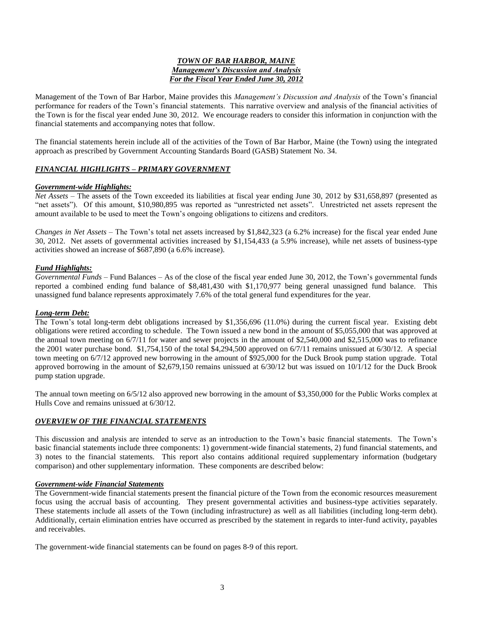#### *TOWN OF BAR HARBOR, MAINE Management's Discussion and Analysis For the Fiscal Year Ended June 30, 2012*

Management of the Town of Bar Harbor, Maine provides this *Management's Discussion and Analysis* of the Town's financial performance for readers of the Town's financial statements. This narrative overview and analysis of the financial activities of the Town is for the fiscal year ended June 30, 2012. We encourage readers to consider this information in conjunction with the financial statements and accompanying notes that follow.

The financial statements herein include all of the activities of the Town of Bar Harbor, Maine (the Town) using the integrated approach as prescribed by Government Accounting Standards Board (GASB) Statement No. 34.

#### *FINANCIAL HIGHLIGHTS – PRIMARY GOVERNMENT*

#### *Government-wide Highlights:*

*Net Assets –* The assets of the Town exceeded its liabilities at fiscal year ending June 30, 2012 by \$31,658,897 (presented as "net assets"). Of this amount, \$10,980,895 was reported as "unrestricted net assets". Unrestricted net assets represent the amount available to be used to meet the Town's ongoing obligations to citizens and creditors.

*Changes in Net Assets –* The Town's total net assets increased by \$1,842,323 (a 6.2% increase) for the fiscal year ended June 30, 2012. Net assets of governmental activities increased by \$1,154,433 (a 5.9% increase), while net assets of business-type activities showed an increase of \$687,890 (a 6.6% increase).

#### *Fund Highlights:*

*Governmental Funds –* Fund Balances – As of the close of the fiscal year ended June 30, 2012, the Town's governmental funds reported a combined ending fund balance of \$8,481,430 with \$1,170,977 being general unassigned fund balance. This unassigned fund balance represents approximately 7.6% of the total general fund expenditures for the year.

#### *Long-term Debt:*

The Town's total long-term debt obligations increased by \$1,356,696 (11.0%) during the current fiscal year. Existing debt obligations were retired according to schedule. The Town issued a new bond in the amount of \$5,055,000 that was approved at the annual town meeting on 6/7/11 for water and sewer projects in the amount of \$2,540,000 and \$2,515,000 was to refinance the 2001 water purchase bond. \$1,754,150 of the total \$4,294,500 approved on 6/7/11 remains unissued at 6/30/12. A special town meeting on 6/7/12 approved new borrowing in the amount of \$925,000 for the Duck Brook pump station upgrade. Total approved borrowing in the amount of \$2,679,150 remains unissued at  $6/30/12$  but was issued on  $10/1/12$  for the Duck Brook pump station upgrade.

The annual town meeting on 6/5/12 also approved new borrowing in the amount of \$3,350,000 for the Public Works complex at Hulls Cove and remains unissued at 6/30/12.

#### *OVERVIEW OF THE FINANCIAL STATEMENTS*

This discussion and analysis are intended to serve as an introduction to the Town's basic financial statements. The Town's basic financial statements include three components: 1) government-wide financial statements, 2) fund financial statements, and 3) notes to the financial statements. This report also contains additional required supplementary information (budgetary comparison) and other supplementary information. These components are described below:

#### *Government-wide Financial Statements*

The Government-wide financial statements present the financial picture of the Town from the economic resources measurement focus using the accrual basis of accounting. They present governmental activities and business-type activities separately. These statements include all assets of the Town (including infrastructure) as well as all liabilities (including long-term debt). Additionally, certain elimination entries have occurred as prescribed by the statement in regards to inter-fund activity, payables and receivables.

The government-wide financial statements can be found on pages 8-9 of this report.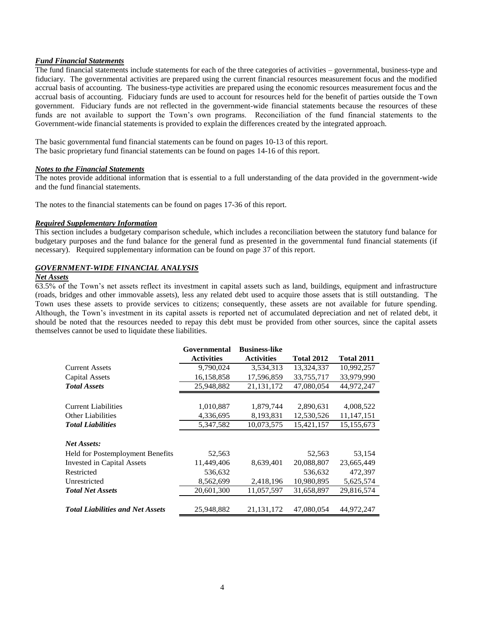#### *Fund Financial Statements*

The fund financial statements include statements for each of the three categories of activities – governmental, business-type and fiduciary. The governmental activities are prepared using the current financial resources measurement focus and the modified accrual basis of accounting. The business-type activities are prepared using the economic resources measurement focus and the accrual basis of accounting. Fiduciary funds are used to account for resources held for the benefit of parties outside the Town government. Fiduciary funds are not reflected in the government-wide financial statements because the resources of these funds are not available to support the Town's own programs. Reconciliation of the fund financial statements to the Government-wide financial statements is provided to explain the differences created by the integrated approach.

The basic governmental fund financial statements can be found on pages 10-13 of this report. The basic proprietary fund financial statements can be found on pages 14-16 of this report.

#### *Notes to the Financial Statements*

The notes provide additional information that is essential to a full understanding of the data provided in the government-wide and the fund financial statements.

The notes to the financial statements can be found on pages 17-36 of this report.

#### *Required Supplementary Information*

This section includes a budgetary comparison schedule, which includes a reconciliation between the statutory fund balance for budgetary purposes and the fund balance for the general fund as presented in the governmental fund financial statements (if necessary). Required supplementary information can be found on page 37 of this report.

## *GOVERNMENT-WIDE FINANCIAL ANALYSIS*

#### *Net Assets*

63.5% of the Town's net assets reflect its investment in capital assets such as land, buildings, equipment and infrastructure (roads, bridges and other immovable assets), less any related debt used to acquire those assets that is still outstanding. The Town uses these assets to provide services to citizens; consequently, these assets are not available for future spending. Although, the Town's investment in its capital assets is reported net of accumulated depreciation and net of related debt, it should be noted that the resources needed to repay this debt must be provided from other sources, since the capital assets themselves cannot be used to liquidate these liabilities.

|                                         | Governmental      | <b>Business-like</b> |                   |            |
|-----------------------------------------|-------------------|----------------------|-------------------|------------|
|                                         | <b>Activities</b> | <b>Activities</b>    | <b>Total 2012</b> | Total 2011 |
| <b>Current Assets</b>                   | 9,790,024         | 3,534,313            | 13,324,337        | 10,992,257 |
| <b>Capital Assets</b>                   | 16,158,858        | 17,596,859           | 33,755,717        | 33,979,990 |
| <b>Total Assets</b>                     | 25,948,882        | 21, 131, 172         | 47,080,054        | 44,972,247 |
|                                         |                   |                      |                   |            |
| <b>Current Liabilities</b>              | 1,010,887         | 1,879,744            | 2,890,631         | 4,008,522  |
| <b>Other Liabilities</b>                | 4,336,695         | 8,193,831            | 12,530,526        | 11,147,151 |
| <b>Total Liabilities</b>                | 5,347,582         | 10,073,575           | 15,421,157        | 15,155,673 |
| <b>Net Assets:</b>                      |                   |                      |                   |            |
|                                         |                   |                      |                   |            |
| Held for Postemployment Benefits        | 52,563            |                      | 52,563            | 53,154     |
| <b>Invested in Capital Assets</b>       | 11,449,406        | 8,639,401            | 20,088,807        | 23,665,449 |
| Restricted                              | 536,632           |                      | 536,632           | 472,397    |
| Unrestricted                            | 8,562,699         | 2,418,196            | 10,980,895        | 5,625,574  |
| <b>Total Net Assets</b>                 | 20,601,300        | 11,057,597           | 31,658,897        | 29,816,574 |
|                                         |                   |                      |                   |            |
| <b>Total Liabilities and Net Assets</b> | 25,948,882        | 21, 131, 172         | 47,080,054        | 44,972,247 |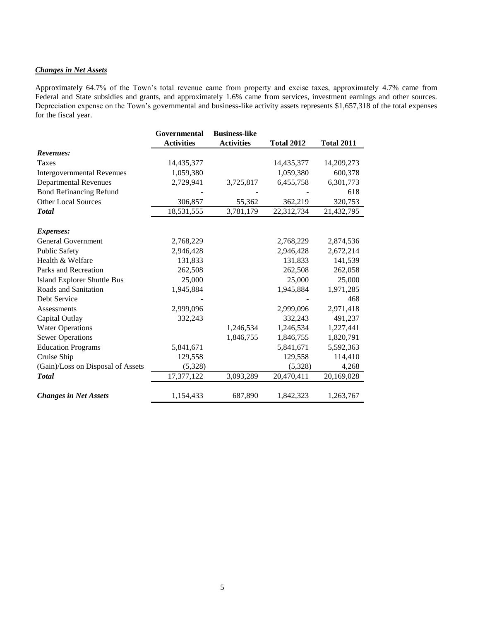#### *Changes in Net Assets*

Approximately 64.7% of the Town's total revenue came from property and excise taxes, approximately 4.7% came from Federal and State subsidies and grants, and approximately 1.6% came from services, investment earnings and other sources. Depreciation expense on the Town's governmental and business-like activity assets represents \$1,657,318 of the total expenses for the fiscal year.

|                                    | Governmental      | <b>Business-like</b> |                   |                   |
|------------------------------------|-------------------|----------------------|-------------------|-------------------|
|                                    | <b>Activities</b> | <b>Activities</b>    | <b>Total 2012</b> | <b>Total 2011</b> |
| Revenues:                          |                   |                      |                   |                   |
| <b>Taxes</b>                       | 14,435,377        |                      | 14,435,377        | 14,209,273        |
| <b>Intergovernmental Revenues</b>  | 1,059,380         |                      | 1,059,380         | 600,378           |
| <b>Departmental Revenues</b>       | 2,729,941         | 3,725,817            | 6,455,758         | 6,301,773         |
| <b>Bond Refinancing Refund</b>     |                   |                      |                   | 618               |
| <b>Other Local Sources</b>         | 306,857           | 55,362               | 362,219           | 320,753           |
| <b>Total</b>                       | 18,531,555        | 3,781,179            | 22,312,734        | 21,432,795        |
| Expenses:                          |                   |                      |                   |                   |
| <b>General Government</b>          | 2,768,229         |                      | 2,768,229         | 2,874,536         |
| <b>Public Safety</b>               | 2,946,428         |                      | 2,946,428         | 2,672,214         |
| Health & Welfare                   | 131,833           |                      | 131,833           | 141,539           |
| Parks and Recreation               | 262,508           |                      | 262,508           | 262,058           |
| <b>Island Explorer Shuttle Bus</b> | 25,000            |                      | 25,000            | 25,000            |
| Roads and Sanitation               | 1,945,884         |                      | 1,945,884         | 1,971,285         |
| Debt Service                       |                   |                      |                   | 468               |
| Assessments                        | 2,999,096         |                      | 2,999,096         | 2,971,418         |
| Capital Outlay                     | 332,243           |                      | 332,243           | 491,237           |
| <b>Water Operations</b>            |                   | 1,246,534            | 1,246,534         | 1,227,441         |
| <b>Sewer Operations</b>            |                   | 1,846,755            | 1,846,755         | 1,820,791         |
| <b>Education Programs</b>          | 5,841,671         |                      | 5,841,671         | 5,592,363         |
| Cruise Ship                        | 129,558           |                      | 129,558           | 114,410           |
| (Gain)/Loss on Disposal of Assets  | (5,328)           |                      | (5,328)           | 4,268             |
| <b>Total</b>                       | 17,377,122        | 3,093,289            | 20,470,411        | 20,169,028        |
| <b>Changes in Net Assets</b>       | 1,154,433         | 687,890              | 1,842,323         | 1,263,767         |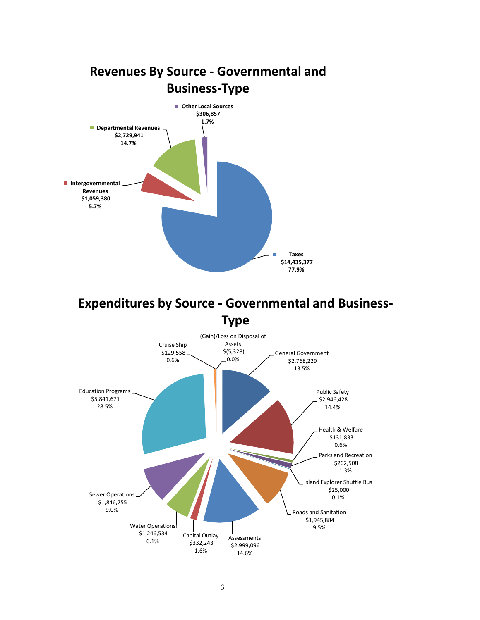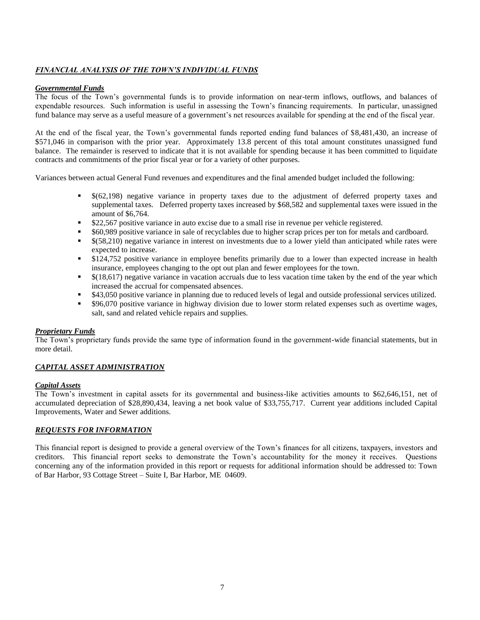#### *FINANCIAL ANALYSIS OF THE TOWN'S INDIVIDUAL FUNDS*

#### *Governmental Funds*

The focus of the Town's governmental funds is to provide information on near-term inflows, outflows, and balances of expendable resources. Such information is useful in assessing the Town's financing requirements. In particular, unassigned fund balance may serve as a useful measure of a government's net resources available for spending at the end of the fiscal year.

At the end of the fiscal year, the Town's governmental funds reported ending fund balances of \$8,481,430, an increase of \$571,046 in comparison with the prior year. Approximately 13.8 percent of this total amount constitutes unassigned fund balance. The remainder is reserved to indicate that it is not available for spending because it has been committed to liquidate contracts and commitments of the prior fiscal year or for a variety of other purposes.

Variances between actual General Fund revenues and expenditures and the final amended budget included the following:

- \$(62,198) negative variance in property taxes due to the adjustment of deferred property taxes and supplemental taxes. Deferred property taxes increased by \$68,582 and supplemental taxes were issued in the amount of \$6,764.
- **•** \$22,567 positive variance in auto excise due to a small rise in revenue per vehicle registered.
- \$60,989 positive variance in sale of recyclables due to higher scrap prices per ton for metals and cardboard.
- \$(58,210) negative variance in interest on investments due to a lower yield than anticipated while rates were expected to increase.
- \$124,752 positive variance in employee benefits primarily due to a lower than expected increase in health insurance, employees changing to the opt out plan and fewer employees for the town.
- \$(18,617) negative variance in vacation accruals due to less vacation time taken by the end of the year which increased the accrual for compensated absences.
- \$43,050 positive variance in planning due to reduced levels of legal and outside professional services utilized.
- \$96,070 positive variance in highway division due to lower storm related expenses such as overtime wages, salt, sand and related vehicle repairs and supplies.

#### *Proprietary Funds*

The Town's proprietary funds provide the same type of information found in the government-wide financial statements, but in more detail.

#### *CAPITAL ASSET ADMINISTRATION*

## *Capital Assets*

The Town's investment in capital assets for its governmental and business-like activities amounts to \$62,646,151, net of accumulated depreciation of \$28,890,434, leaving a net book value of \$33,755,717. Current year additions included Capital Improvements, Water and Sewer additions.

#### *REQUESTS FOR INFORMATION*

This financial report is designed to provide a general overview of the Town's finances for all citizens, taxpayers, investors and creditors. This financial report seeks to demonstrate the Town's accountability for the money it receives. Questions concerning any of the information provided in this report or requests for additional information should be addressed to: Town of Bar Harbor, 93 Cottage Street – Suite I, Bar Harbor, ME 04609.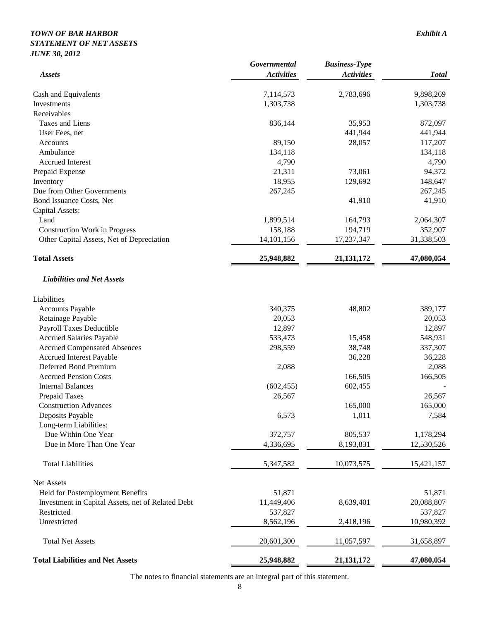## *TOWN OF BAR HARBOR Exhibit A STATEMENT OF NET ASSETS JUNE 30, 2012*

|                                                   | Governmental      | <b>Business-Type</b> |              |
|---------------------------------------------------|-------------------|----------------------|--------------|
| <b>Assets</b>                                     | <b>Activities</b> | <b>Activities</b>    | <b>Total</b> |
| Cash and Equivalents                              | 7,114,573         | 2,783,696            | 9,898,269    |
| Investments                                       | 1,303,738         |                      | 1,303,738    |
| Receivables                                       |                   |                      |              |
| Taxes and Liens                                   | 836,144           | 35,953               | 872,097      |
| User Fees, net                                    |                   | 441,944              | 441,944      |
| Accounts                                          | 89,150            | 28,057               | 117,207      |
| Ambulance                                         | 134,118           |                      | 134,118      |
| <b>Accrued Interest</b>                           | 4,790             |                      | 4,790        |
| Prepaid Expense                                   | 21,311            | 73,061               | 94,372       |
| Inventory                                         | 18,955            | 129,692              | 148,647      |
| Due from Other Governments                        | 267,245           |                      | 267,245      |
| Bond Issuance Costs, Net                          |                   | 41,910               | 41,910       |
| Capital Assets:                                   |                   |                      |              |
| Land                                              | 1,899,514         | 164,793              | 2,064,307    |
| <b>Construction Work in Progress</b>              | 158,188           | 194,719              | 352,907      |
| Other Capital Assets, Net of Depreciation         | 14,101,156        | 17,237,347           | 31,338,503   |
| <b>Total Assets</b>                               | 25,948,882        | 21, 131, 172         | 47,080,054   |
| <b>Liabilities and Net Assets</b>                 |                   |                      |              |
| Liabilities                                       |                   |                      |              |
| <b>Accounts Payable</b>                           | 340,375           | 48,802               | 389,177      |
| Retainage Payable                                 | 20,053            |                      | 20,053       |
| Payroll Taxes Deductible                          | 12,897            |                      | 12,897       |
| <b>Accrued Salaries Payable</b>                   | 533,473           | 15,458               | 548,931      |
| <b>Accrued Compensated Absences</b>               | 298,559           | 38,748               | 337,307      |
| Accrued Interest Payable                          |                   | 36,228               | 36,228       |
| Deferred Bond Premium                             | 2,088             |                      | 2,088        |
| <b>Accrued Pension Costs</b>                      |                   | 166,505              | 166,505      |
| <b>Internal Balances</b>                          | (602, 455)        | 602,455              |              |
| Prepaid Taxes                                     | 26,567            |                      | 26,567       |
| <b>Construction Advances</b>                      |                   | 165,000              | 165,000      |
| Deposits Payable                                  | 6,573             | 1,011                | 7,584        |
| Long-term Liabilities:                            |                   |                      |              |
| Due Within One Year                               | 372,757           | 805,537              | 1,178,294    |
| Due in More Than One Year                         | 4,336,695         | 8,193,831            | 12,530,526   |
| <b>Total Liabilities</b>                          | 5,347,582         | 10,073,575           | 15,421,157   |
| Net Assets                                        |                   |                      |              |
| Held for Postemployment Benefits                  | 51,871            |                      | 51,871       |
| Investment in Capital Assets, net of Related Debt | 11,449,406        | 8,639,401            | 20,088,807   |
| Restricted                                        | 537,827           |                      | 537,827      |
| Unrestricted                                      | 8,562,196         | 2,418,196            | 10,980,392   |
| <b>Total Net Assets</b>                           | 20,601,300        | 11,057,597           | 31,658,897   |
| <b>Total Liabilities and Net Assets</b>           | 25,948,882        | 21, 131, 172         | 47,080,054   |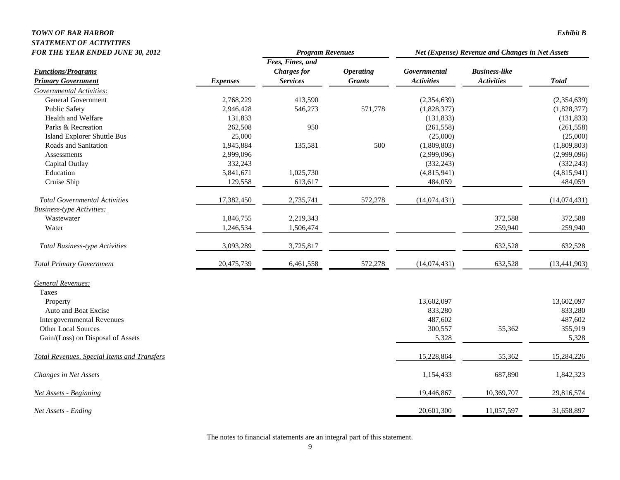## *TOWN OF BAR HARBOR Exhibit B STATEMENT OF ACTIVITIES*

| <b>FOR THE YEAR ENDED JUNE 30, 2012</b>            |                 | <b>Program Revenues</b> |                  | <b>Net (Expense) Revenue and Changes in Net Assets</b> |                      |                |
|----------------------------------------------------|-----------------|-------------------------|------------------|--------------------------------------------------------|----------------------|----------------|
|                                                    |                 | Fees, Fines, and        |                  |                                                        |                      |                |
| <b>Functions/Programs</b>                          |                 | <b>Charges for</b>      | <b>Operating</b> | Governmental                                           | <b>Business-like</b> |                |
| <b>Primary Government</b>                          | <b>Expenses</b> | <b>Services</b>         | <b>Grants</b>    | <b>Activities</b>                                      | <b>Activities</b>    | <b>Total</b>   |
| Governmental Activities:                           |                 |                         |                  |                                                        |                      |                |
| <b>General Government</b>                          | 2,768,229       | 413,590                 |                  | (2,354,639)                                            |                      | (2,354,639)    |
| <b>Public Safety</b>                               | 2,946,428       | 546,273                 | 571,778          | (1,828,377)                                            |                      | (1,828,377)    |
| Health and Welfare                                 | 131,833         |                         |                  | (131, 833)                                             |                      | (131, 833)     |
| Parks & Recreation                                 | 262,508         | 950                     |                  | (261, 558)                                             |                      | (261, 558)     |
| <b>Island Explorer Shuttle Bus</b>                 | 25,000          |                         |                  | (25,000)                                               |                      | (25,000)       |
| Roads and Sanitation                               | 1,945,884       | 135,581                 | 500              | (1,809,803)                                            |                      | (1,809,803)    |
| Assessments                                        | 2,999,096       |                         |                  | (2,999,096)                                            |                      | (2,999,096)    |
| Capital Outlay                                     | 332,243         |                         |                  | (332, 243)                                             |                      | (332, 243)     |
| Education                                          | 5,841,671       | 1,025,730               |                  | (4,815,941)                                            |                      | (4,815,941)    |
| Cruise Ship                                        | 129,558         | 613,617                 |                  | 484,059                                                |                      | 484,059        |
| <b>Total Governmental Activities</b>               | 17,382,450      | 2,735,741               | 572,278          | (14,074,431)                                           |                      | (14,074,431)   |
| <b>Business-type Activities:</b>                   |                 |                         |                  |                                                        |                      |                |
| Wastewater                                         | 1,846,755       | 2,219,343               |                  |                                                        | 372,588              | 372,588        |
| Water                                              | 1,246,534       | 1,506,474               |                  |                                                        | 259,940              | 259,940        |
| <b>Total Business-type Activities</b>              | 3,093,289       | 3,725,817               |                  |                                                        | 632,528              | 632,528        |
| <b>Total Primary Government</b>                    | 20,475,739      | 6,461,558               | 572,278          | (14,074,431)                                           | 632,528              | (13, 441, 903) |
| <b>General Revenues:</b>                           |                 |                         |                  |                                                        |                      |                |
| Taxes                                              |                 |                         |                  |                                                        |                      |                |
| Property                                           |                 |                         |                  | 13,602,097                                             |                      | 13,602,097     |
| Auto and Boat Excise                               |                 |                         |                  | 833,280                                                |                      | 833,280        |
| <b>Intergovernmental Revenues</b>                  |                 |                         |                  | 487,602                                                |                      | 487,602        |
| <b>Other Local Sources</b>                         |                 |                         |                  | 300,557                                                | 55,362               | 355,919        |
| Gain/(Loss) on Disposal of Assets                  |                 |                         |                  | 5,328                                                  |                      | 5,328          |
| <b>Total Revenues, Special Items and Transfers</b> |                 |                         |                  | 15,228,864                                             | 55,362               | 15,284,226     |
| <b>Changes in Net Assets</b>                       |                 |                         |                  | 1,154,433                                              | 687,890              | 1,842,323      |
| <b>Net Assets - Beginning</b>                      |                 |                         |                  | 19,446,867                                             | 10,369,707           | 29,816,574     |
| <b>Net Assets - Ending</b>                         |                 |                         |                  | 20,601,300                                             | 11,057,597           | 31,658,897     |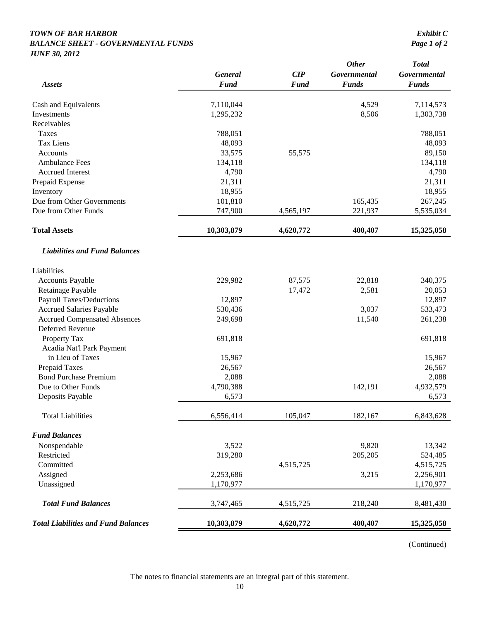## *TOWN OF BAR HARBOR Exhibit C*

## *BALANCE SHEET - GOVERNMENTAL FUNDS Page 1 of 2 JUNE 30, 2012*

|                                            |                |             | <b>Other</b> | <b>Total</b> |
|--------------------------------------------|----------------|-------------|--------------|--------------|
|                                            | <b>General</b> | CIP         | Governmental | Governmental |
| <b>Assets</b>                              | <b>Fund</b>    | <b>Fund</b> | <b>Funds</b> | <b>Funds</b> |
| Cash and Equivalents                       | 7,110,044      |             | 4,529        | 7,114,573    |
| Investments                                | 1,295,232      |             | 8,506        | 1,303,738    |
| Receivables                                |                |             |              |              |
| Taxes                                      | 788,051        |             |              | 788,051      |
| <b>Tax Liens</b>                           | 48,093         |             |              | 48,093       |
| Accounts                                   | 33,575         | 55,575      |              | 89,150       |
| <b>Ambulance Fees</b>                      | 134,118        |             |              | 134,118      |
| <b>Accrued Interest</b>                    | 4,790          |             |              | 4,790        |
| Prepaid Expense                            | 21,311         |             |              | 21,311       |
| Inventory                                  | 18,955         |             |              | 18,955       |
| Due from Other Governments                 | 101,810        |             | 165,435      | 267,245      |
| Due from Other Funds                       | 747,900        | 4,565,197   | 221,937      | 5,535,034    |
| <b>Total Assets</b>                        | 10,303,879     | 4,620,772   | 400,407      | 15,325,058   |
| <b>Liabilities and Fund Balances</b>       |                |             |              |              |
| Liabilities                                |                |             |              |              |
| <b>Accounts Payable</b>                    | 229,982        | 87,575      | 22,818       | 340,375      |
| Retainage Payable                          |                | 17,472      | 2,581        | 20,053       |
| <b>Payroll Taxes/Deductions</b>            | 12,897         |             |              | 12,897       |
| <b>Accrued Salaries Payable</b>            | 530,436        |             | 3,037        | 533,473      |
| <b>Accrued Compensated Absences</b>        | 249,698        |             | 11,540       | 261,238      |
| Deferred Revenue                           |                |             |              |              |
| Property Tax                               | 691,818        |             |              | 691,818      |
| Acadia Nat'l Park Payment                  |                |             |              |              |
| in Lieu of Taxes                           | 15,967         |             |              | 15,967       |
| Prepaid Taxes                              | 26,567         |             |              | 26,567       |
| <b>Bond Purchase Premium</b>               | 2,088          |             |              | 2,088        |
| Due to Other Funds                         | 4,790,388      |             | 142,191      | 4,932,579    |
| Deposits Payable                           | 6,573          |             |              | 6,573        |
| <b>Total Liabilities</b>                   | 6,556,414      | 105,047     | 182,167      | 6,843,628    |
| <b>Fund Balances</b>                       |                |             |              |              |
| Nonspendable                               | 3,522          |             | 9,820        | 13,342       |
| Restricted                                 | 319,280        |             | 205,205      | 524,485      |
| Committed                                  |                | 4,515,725   |              | 4,515,725    |
| Assigned                                   | 2,253,686      |             | 3,215        | 2,256,901    |
| Unassigned                                 | 1,170,977      |             |              | 1,170,977    |
| <b>Total Fund Balances</b>                 | 3,747,465      | 4,515,725   | 218,240      | 8,481,430    |
| <b>Total Liabilities and Fund Balances</b> | 10,303,879     | 4,620,772   | 400,407      | 15,325,058   |

(Continued)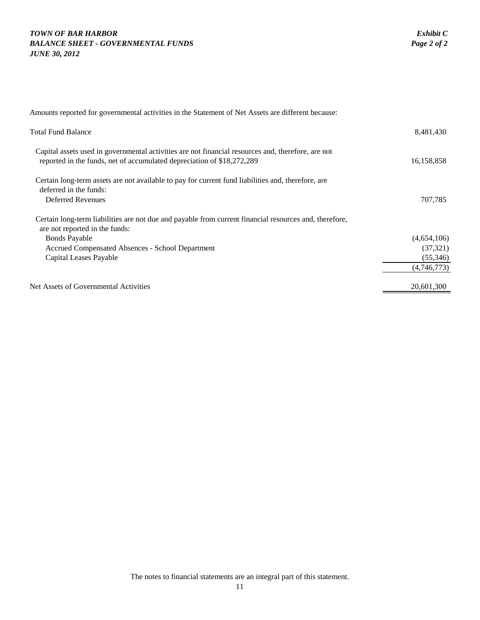## *TOWN OF BAR HARBOR Exhibit C BALANCE SHEET - GOVERNMENTAL FUNDS Page 2 of 2 JUNE 30, 2012*

| Amounts reported for governmental activities in the Statement of Net Assets are different because:                                                                           |             |
|------------------------------------------------------------------------------------------------------------------------------------------------------------------------------|-------------|
| Total Fund Balance                                                                                                                                                           | 8,481,430   |
| Capital assets used in governmental activities are not financial resources and, therefore, are not<br>reported in the funds, net of accumulated depreciation of \$18,272,289 | 16,158,858  |
| Certain long-term assets are not available to pay for current fund liabilities and, therefore, are<br>deferred in the funds:<br><b>Deferred Revenues</b>                     | 707,785     |
| Certain long-term liabilities are not due and payable from current financial resources and, therefore,<br>are not reported in the funds:                                     |             |
| <b>Bonds Payable</b>                                                                                                                                                         | (4,654,106) |
| Accrued Compensated Absences - School Department                                                                                                                             | (37,321)    |
| Capital Leases Payable                                                                                                                                                       | (55,346)    |
|                                                                                                                                                                              | (4,746,773) |
| Net Assets of Governmental Activities                                                                                                                                        | 20,601,300  |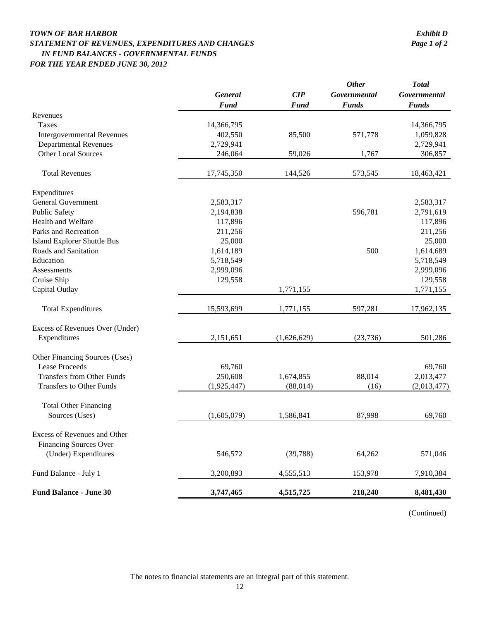## *TOWN OF BAR HARBOR Exhibit D STATEMENT OF REVENUES, EXPENDITURES AND CHANGES Page 1 of 2 IN FUND BALANCES - GOVERNMENTAL FUNDS FOR THE YEAR ENDED JUNE 30, 2012*

|                                   | General     | CIP         | <b>Other</b><br>Governmental | <b>Total</b><br>Governmental |
|-----------------------------------|-------------|-------------|------------------------------|------------------------------|
|                                   | <b>Fund</b> | <b>Fund</b> | <b>Funds</b>                 | <b>Funds</b>                 |
| Revenues                          |             |             |                              |                              |
| Taxes                             | 14,366,795  |             |                              | 14,366,795                   |
| <b>Intergovernmental Revenues</b> | 402,550     | 85,500      | 571,778                      | 1,059,828                    |
| <b>Departmental Revenues</b>      | 2,729,941   |             |                              | 2,729,941                    |
| Other Local Sources               | 246,064     | 59,026      | 1,767                        | 306,857                      |
| <b>Total Revenues</b>             | 17,745,350  | 144,526     | 573,545                      | 18,463,421                   |
| Expenditures                      |             |             |                              |                              |
| <b>General Government</b>         | 2,583,317   |             |                              | 2,583,317                    |
| <b>Public Safety</b>              | 2,194,838   |             | 596,781                      | 2,791,619                    |
| Health and Welfare                | 117,896     |             |                              | 117,896                      |
| Parks and Recreation              | 211,256     |             |                              | 211,256                      |
| Island Explorer Shuttle Bus       | 25,000      |             |                              | 25,000                       |
| Roads and Sanitation              | 1,614,189   |             | 500                          | 1,614,689                    |
| Education                         | 5,718,549   |             |                              | 5,718,549                    |
| Assessments                       | 2,999,096   |             |                              | 2,999,096                    |
| Cruise Ship                       | 129,558     |             |                              | 129,558                      |
| Capital Outlay                    |             | 1,771,155   |                              | 1,771,155                    |
| <b>Total Expenditures</b>         | 15,593,699  | 1,771,155   | 597,281                      | 17,962,135                   |
| Excess of Revenues Over (Under)   |             |             |                              |                              |
| Expenditures                      | 2,151,651   | (1,626,629) | (23, 736)                    | 501,286                      |
| Other Financing Sources (Uses)    |             |             |                              |                              |
| <b>Lease Proceeds</b>             | 69,760      |             |                              | 69,760                       |
| <b>Transfers from Other Funds</b> | 250,608     | 1,674,855   | 88,014                       | 2,013,477                    |
| <b>Transfers to Other Funds</b>   | (1,925,447) | (88,014)    | (16)                         | (2,013,477)                  |
| <b>Total Other Financing</b>      |             |             |                              |                              |
| Sources (Uses)                    | (1,605,079) | 1,586,841   | 87,998                       | 69,760                       |
| Excess of Revenues and Other      |             |             |                              |                              |
| <b>Financing Sources Over</b>     |             |             |                              |                              |
| (Under) Expenditures              | 546,572     | (39, 788)   | 64,262                       | 571,046                      |
| Fund Balance - July 1             | 3,200,893   | 4,555,513   | 153,978                      | 7,910,384                    |
| <b>Fund Balance - June 30</b>     | 3,747,465   | 4,515,725   | 218,240                      | 8,481,430                    |
|                                   |             |             |                              |                              |

(Continued)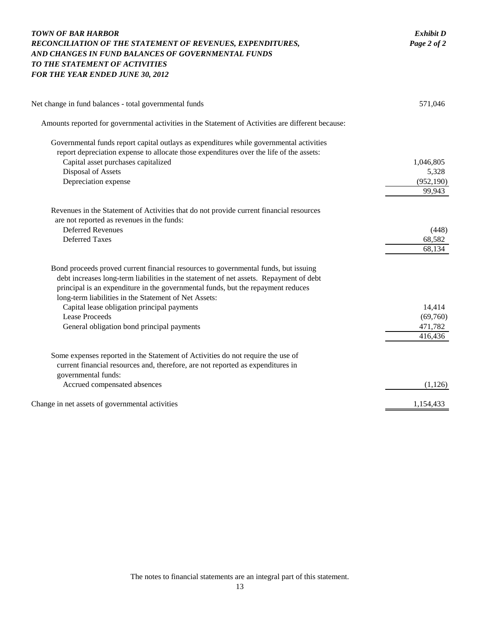| <b>TOWN OF BAR HARBOR</b><br>RECONCILIATION OF THE STATEMENT OF REVENUES, EXPENDITURES,<br>AND CHANGES IN FUND BALANCES OF GOVERNMENTAL FUNDS<br>TO THE STATEMENT OF ACTIVITIES<br>FOR THE YEAR ENDED JUNE 30, 2012                                                                                                        | <b>Exhibit D</b><br>Page 2 of 2 |
|----------------------------------------------------------------------------------------------------------------------------------------------------------------------------------------------------------------------------------------------------------------------------------------------------------------------------|---------------------------------|
| Net change in fund balances - total governmental funds                                                                                                                                                                                                                                                                     | 571,046                         |
| Amounts reported for governmental activities in the Statement of Activities are different because:                                                                                                                                                                                                                         |                                 |
| Governmental funds report capital outlays as expenditures while governmental activities<br>report depreciation expense to allocate those expenditures over the life of the assets:                                                                                                                                         |                                 |
| Capital asset purchases capitalized                                                                                                                                                                                                                                                                                        | 1,046,805                       |
| Disposal of Assets                                                                                                                                                                                                                                                                                                         | 5,328                           |
| Depreciation expense                                                                                                                                                                                                                                                                                                       | (952, 190)                      |
|                                                                                                                                                                                                                                                                                                                            | 99,943                          |
| Revenues in the Statement of Activities that do not provide current financial resources<br>are not reported as revenues in the funds:                                                                                                                                                                                      |                                 |
| <b>Deferred Revenues</b>                                                                                                                                                                                                                                                                                                   | (448)                           |
| <b>Deferred Taxes</b>                                                                                                                                                                                                                                                                                                      | 68,582                          |
|                                                                                                                                                                                                                                                                                                                            | 68,134                          |
| Bond proceeds proved current financial resources to governmental funds, but issuing<br>debt increases long-term liabilities in the statement of net assets. Repayment of debt<br>principal is an expenditure in the governmental funds, but the repayment reduces<br>long-term liabilities in the Statement of Net Assets: |                                 |
| Capital lease obligation principal payments                                                                                                                                                                                                                                                                                | 14,414                          |
| <b>Lease Proceeds</b>                                                                                                                                                                                                                                                                                                      | (69,760)                        |
| General obligation bond principal payments                                                                                                                                                                                                                                                                                 | 471,782                         |
|                                                                                                                                                                                                                                                                                                                            | 416,436                         |
| Some expenses reported in the Statement of Activities do not require the use of<br>current financial resources and, therefore, are not reported as expenditures in<br>governmental funds:                                                                                                                                  |                                 |
| Accrued compensated absences                                                                                                                                                                                                                                                                                               | (1,126)                         |
| Change in net assets of governmental activities                                                                                                                                                                                                                                                                            | 1,154,433                       |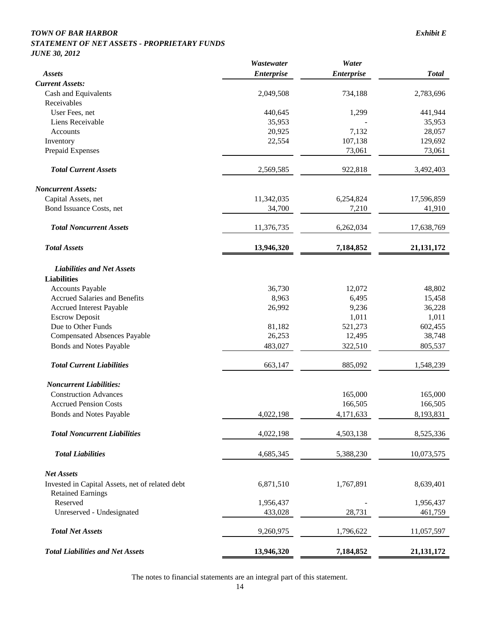#### *TOWN OF BAR HARBOR Exhibit E*

# *STATEMENT OF NET ASSETS - PROPRIETARY FUNDS*

|                                                 | Wastewater        | Water             |              |
|-------------------------------------------------|-------------------|-------------------|--------------|
| <b>Assets</b>                                   | <b>Enterprise</b> | <b>Enterprise</b> | <b>Total</b> |
| <b>Current Assets:</b>                          |                   |                   |              |
| Cash and Equivalents                            | 2,049,508         | 734,188           | 2,783,696    |
| Receivables                                     |                   |                   |              |
| User Fees, net                                  | 440,645           | 1,299             | 441,944      |
| Liens Receivable                                | 35,953            |                   | 35,953       |
| <b>Accounts</b>                                 | 20,925            | 7,132             | 28,057       |
| Inventory                                       | 22,554            | 107,138           | 129,692      |
| Prepaid Expenses                                |                   | 73,061            | 73,061       |
| <b>Total Current Assets</b>                     | 2,569,585         | 922,818           | 3,492,403    |
| <b>Noncurrent Assets:</b>                       |                   |                   |              |
| Capital Assets, net                             | 11,342,035        | 6,254,824         | 17,596,859   |
| Bond Issuance Costs, net                        | 34,700            | 7,210             | 41,910       |
| <b>Total Noncurrent Assets</b>                  | 11,376,735        | 6,262,034         | 17,638,769   |
| <b>Total Assets</b>                             | 13,946,320        | 7,184,852         | 21, 131, 172 |
| <b>Liabilities and Net Assets</b>               |                   |                   |              |
| <b>Liabilities</b>                              |                   |                   |              |
| <b>Accounts Payable</b>                         | 36,730            | 12,072            | 48,802       |
| <b>Accrued Salaries and Benefits</b>            | 8,963             | 6,495             | 15,458       |
| Accrued Interest Payable                        | 26,992            | 9,236             | 36,228       |
| <b>Escrow Deposit</b>                           |                   | 1,011             | 1,011        |
| Due to Other Funds                              | 81,182            | 521,273           | 602,455      |
| <b>Compensated Absences Payable</b>             | 26,253            | 12,495            | 38,748       |
| Bonds and Notes Payable                         | 483,027           | 322,510           | 805,537      |
| <b>Total Current Liabilities</b>                | 663,147           | 885,092           | 1,548,239    |
| <b>Noncurrent Liabilities:</b>                  |                   |                   |              |
| <b>Construction Advances</b>                    |                   | 165,000           | 165,000      |
| <b>Accrued Pension Costs</b>                    |                   | 166,505           | 166,505      |
| Bonds and Notes Payable                         | 4,022,198         | 4,171,633         | 8,193,831    |
| <b>Total Noncurrent Liabilities</b>             | 4,022,198         | 4,503,138         | 8,525,336    |
| <b>Total Liabilities</b>                        | 4,685,345         | 5,388,230         | 10,073,575   |
| Net Assets                                      |                   |                   |              |
| Invested in Capital Assets, net of related debt | 6,871,510         | 1,767,891         | 8,639,401    |
| <b>Retained Earnings</b>                        |                   |                   |              |
| Reserved                                        | 1,956,437         |                   | 1,956,437    |
| Unreserved - Undesignated                       | 433,028           | 28,731            | 461,759      |
| <b>Total Net Assets</b>                         | 9,260,975         | 1,796,622         | 11,057,597   |
| <b>Total Liabilities and Net Assets</b>         | 13,946,320        | 7,184,852         | 21, 131, 172 |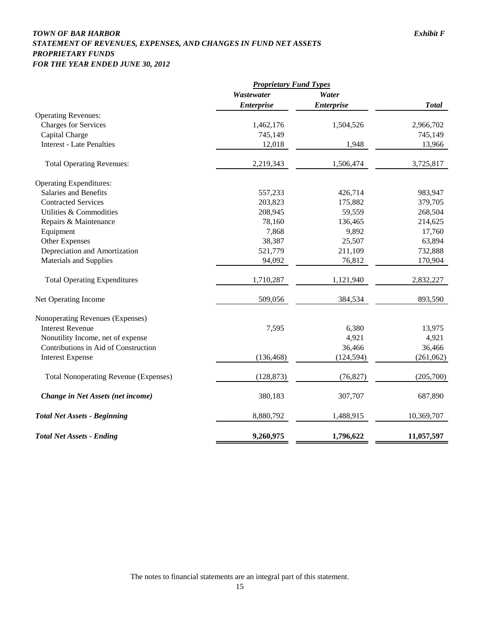## *TOWN OF BAR HARBOR Exhibit F STATEMENT OF REVENUES, EXPENSES, AND CHANGES IN FUND NET ASSETS PROPRIETARY FUNDS FOR THE YEAR ENDED JUNE 30, 2012*

|                                              | <b>Proprietary Fund Types</b> |                   |              |
|----------------------------------------------|-------------------------------|-------------------|--------------|
|                                              | Wastewater                    | Water             |              |
|                                              | <b>Enterprise</b>             | <b>Enterprise</b> | <b>Total</b> |
| <b>Operating Revenues:</b>                   |                               |                   |              |
| <b>Charges for Services</b>                  | 1,462,176                     | 1,504,526         | 2,966,702    |
| Capital Charge                               | 745,149                       |                   | 745,149      |
| <b>Interest - Late Penalties</b>             | 12,018                        | 1,948             | 13,966       |
| <b>Total Operating Revenues:</b>             | 2,219,343                     | 1,506,474         | 3,725,817    |
| <b>Operating Expenditures:</b>               |                               |                   |              |
| <b>Salaries and Benefits</b>                 | 557,233                       | 426,714           | 983,947      |
| <b>Contracted Services</b>                   | 203,823                       | 175,882           | 379,705      |
| Utilities & Commodities                      | 208,945                       | 59,559            | 268,504      |
| Repairs & Maintenance                        | 78,160                        | 136,465           | 214,625      |
| Equipment                                    | 7,868                         | 9,892             | 17,760       |
| Other Expenses                               | 38,387                        | 25,507            | 63,894       |
| Depreciation and Amortization                | 521,779                       | 211,109           | 732,888      |
| <b>Materials and Supplies</b>                | 94,092                        | 76,812            | 170,904      |
| <b>Total Operating Expenditures</b>          | 1,710,287                     | 1,121,940         | 2,832,227    |
| Net Operating Income                         | 509,056                       | 384,534           | 893,590      |
| Nonoperating Revenues (Expenses)             |                               |                   |              |
| <b>Interest Revenue</b>                      | 7,595                         | 6,380             | 13,975       |
| Nonutility Income, net of expense            |                               | 4,921             | 4,921        |
| Contributions in Aid of Construction         |                               | 36,466            | 36,466       |
| <b>Interest Expense</b>                      | (136, 468)                    | (124, 594)        | (261,062)    |
| <b>Total Nonoperating Revenue (Expenses)</b> | (128, 873)                    | (76, 827)         | (205,700)    |
| Change in Net Assets (net income)            | 380,183                       | 307,707           | 687,890      |
| <b>Total Net Assets - Beginning</b>          | 8,880,792                     | 1,488,915         | 10,369,707   |
| <b>Total Net Assets - Ending</b>             | 9,260,975                     | 1,796,622         | 11,057,597   |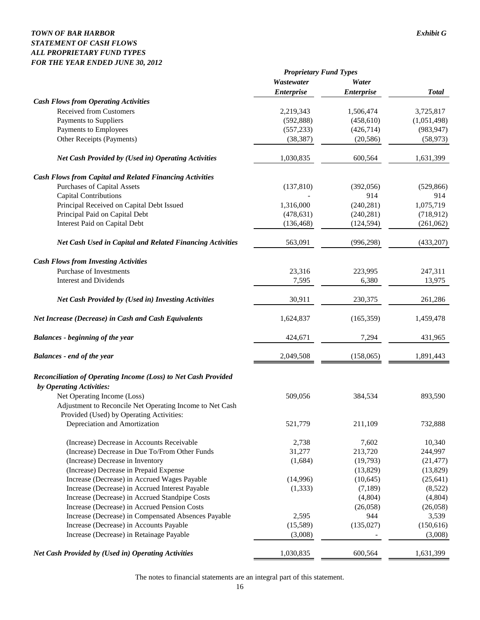#### *TOWN OF BAR HARBOR Exhibit G STATEMENT OF CASH FLOWS ALL PROPRIETARY FUND TYPES FOR THE YEAR ENDED JUNE 30, 2012*

|                                                                  | <b>Proprietary Fund Types</b> |                   |              |  |
|------------------------------------------------------------------|-------------------------------|-------------------|--------------|--|
|                                                                  | Wastewater                    | Water             |              |  |
|                                                                  | <b>Enterprise</b>             | <b>Enterprise</b> | <b>Total</b> |  |
| <b>Cash Flows from Operating Activities</b>                      |                               |                   |              |  |
| <b>Received from Customers</b>                                   | 2,219,343                     | 1,506,474         | 3,725,817    |  |
| Payments to Suppliers                                            | (592, 888)                    | (458, 610)        | (1,051,498)  |  |
| Payments to Employees                                            | (557, 233)                    | (426, 714)        | (983, 947)   |  |
| Other Receipts (Payments)                                        | (38, 387)                     | (20, 586)         | (58, 973)    |  |
| Net Cash Provided by (Used in) Operating Activities              | 1,030,835                     | 600,564           | 1,631,399    |  |
| <b>Cash Flows from Capital and Related Financing Activities</b>  |                               |                   |              |  |
| <b>Purchases of Capital Assets</b>                               | (137, 810)                    | (392,056)         | (529, 866)   |  |
| Capital Contributions                                            |                               | 914               | 914          |  |
| Principal Received on Capital Debt Issued                        | 1,316,000                     | (240, 281)        | 1,075,719    |  |
| Principal Paid on Capital Debt                                   | (478, 631)                    | (240, 281)        | (718,912)    |  |
| Interest Paid on Capital Debt                                    | (136, 468)                    | (124, 594)        | (261,062)    |  |
| <b>Net Cash Used in Capital and Related Financing Activities</b> | 563,091                       | (996, 298)        | (433, 207)   |  |
| <b>Cash Flows from Investing Activities</b>                      |                               |                   |              |  |
| Purchase of Investments                                          | 23,316                        | 223,995           | 247,311      |  |
| <b>Interest and Dividends</b>                                    | 7,595                         | 6,380             | 13,975       |  |
| Net Cash Provided by (Used in) Investing Activities              | 30,911                        | 230,375           | 261,286      |  |
| <b>Net Increase (Decrease) in Cash and Cash Equivalents</b>      | 1,624,837                     | (165, 359)        | 1,459,478    |  |
| <b>Balances - beginning of the year</b>                          | 424,671                       | 7,294             | 431,965      |  |
| <b>Balances</b> - end of the year                                | 2,049,508                     | (158,065)         | 1,891,443    |  |
| Reconciliation of Operating Income (Loss) to Net Cash Provided   |                               |                   |              |  |
| by Operating Activities:                                         |                               |                   |              |  |
| Net Operating Income (Loss)                                      | 509,056                       | 384,534           | 893,590      |  |
| Adjustment to Reconcile Net Operating Income to Net Cash         |                               |                   |              |  |
| Provided (Used) by Operating Activities:                         |                               |                   |              |  |
| Depreciation and Amortization                                    | 521,779                       | 211,109           | 732,888      |  |
| (Increase) Decrease in Accounts Receivable                       | 2,738                         | 7,602             | 10,340       |  |
| (Increase) Decrease in Due To/From Other Funds                   | 31,277                        | 213,720           | 244,997      |  |
| (Increase) Decrease in Inventory                                 | (1,684)                       | (19,793)          | (21, 477)    |  |
| (Increase) Decrease in Prepaid Expense                           |                               | (13,829)          | (13,829)     |  |
| Increase (Decrease) in Accrued Wages Payable                     | (14,996)                      | (10, 645)         | (25, 641)    |  |
| Increase (Decrease) in Accrued Interest Payable                  | (1, 333)                      | (7,189)           | (8,522)      |  |
| Increase (Decrease) in Accrued Standpipe Costs                   |                               | (4,804)           | (4,804)      |  |
| Increase (Decrease) in Accrued Pension Costs                     |                               | (26,058)          | (26,058)     |  |
| Increase (Decrease) in Compensated Absences Payable              | 2,595                         | 944               | 3,539        |  |
| Increase (Decrease) in Accounts Payable                          | (15,589)                      | (135, 027)        | (150, 616)   |  |
| Increase (Decrease) in Retainage Payable                         | (3,008)                       |                   | (3,008)      |  |
| Net Cash Provided by (Used in) Operating Activities              | 1,030,835                     | 600,564           | 1,631,399    |  |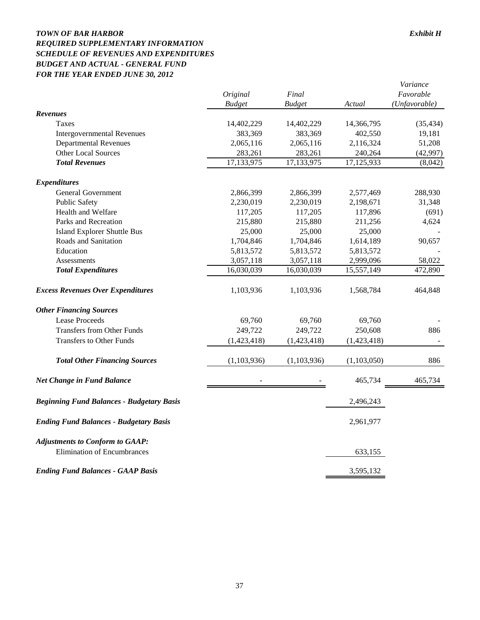## *TOWN OF BAR HARBOR Exhibit H REQUIRED SUPPLEMENTARY INFORMATION SCHEDULE OF REVENUES AND EXPENDITURES BUDGET AND ACTUAL - GENERAL FUND FOR THE YEAR ENDED JUNE 30, 2012*

|                                                  | Original      | Final         |             | Variance<br>Favorable |
|--------------------------------------------------|---------------|---------------|-------------|-----------------------|
|                                                  | <b>Budget</b> | <b>Budget</b> | Actual      | (Unfavorable)         |
| <b>Revenues</b>                                  |               |               |             |                       |
| <b>Taxes</b>                                     | 14,402,229    | 14,402,229    | 14,366,795  | (35, 434)             |
| <b>Intergovernmental Revenues</b>                | 383,369       | 383,369       | 402,550     | 19,181                |
| <b>Departmental Revenues</b>                     | 2,065,116     | 2,065,116     | 2,116,324   | 51,208                |
| <b>Other Local Sources</b>                       | 283,261       | 283,261       | 240,264     | (42,997)              |
| <b>Total Revenues</b>                            | 17,133,975    | 17,133,975    | 17,125,933  | (8,042)               |
| <b>Expenditures</b>                              |               |               |             |                       |
| <b>General Government</b>                        | 2,866,399     | 2,866,399     | 2,577,469   | 288,930               |
| <b>Public Safety</b>                             | 2,230,019     | 2,230,019     | 2,198,671   | 31,348                |
| Health and Welfare                               | 117,205       | 117,205       | 117,896     | (691)                 |
| Parks and Recreation                             | 215,880       | 215,880       | 211,256     | 4,624                 |
| Island Explorer Shuttle Bus                      | 25,000        | 25,000        | 25,000      |                       |
| Roads and Sanitation                             | 1,704,846     | 1,704,846     | 1,614,189   | 90,657                |
| Education                                        | 5,813,572     | 5,813,572     | 5,813,572   |                       |
| Assessments                                      | 3,057,118     | 3,057,118     | 2,999,096   | 58,022                |
| <b>Total Expenditures</b>                        | 16,030,039    | 16,030,039    | 15,557,149  | 472,890               |
| <b>Excess Revenues Over Expenditures</b>         | 1,103,936     | 1,103,936     | 1,568,784   | 464,848               |
| <b>Other Financing Sources</b>                   |               |               |             |                       |
| <b>Lease Proceeds</b>                            | 69,760        | 69,760        | 69,760      |                       |
| <b>Transfers from Other Funds</b>                | 249,722       | 249,722       | 250,608     | 886                   |
| <b>Transfers to Other Funds</b>                  | (1,423,418)   | (1,423,418)   | (1,423,418) |                       |
| <b>Total Other Financing Sources</b>             | (1, 103, 936) | (1,103,936)   | (1,103,050) | 886                   |
| <b>Net Change in Fund Balance</b>                |               |               | 465,734     | 465,734               |
| <b>Beginning Fund Balances - Budgetary Basis</b> |               |               | 2,496,243   |                       |
| <b>Ending Fund Balances - Budgetary Basis</b>    |               |               | 2,961,977   |                       |
| <b>Adjustments to Conform to GAAP:</b>           |               |               |             |                       |
| <b>Elimination of Encumbrances</b>               |               |               | 633,155     |                       |
| <b>Ending Fund Balances - GAAP Basis</b>         |               |               | 3,595,132   |                       |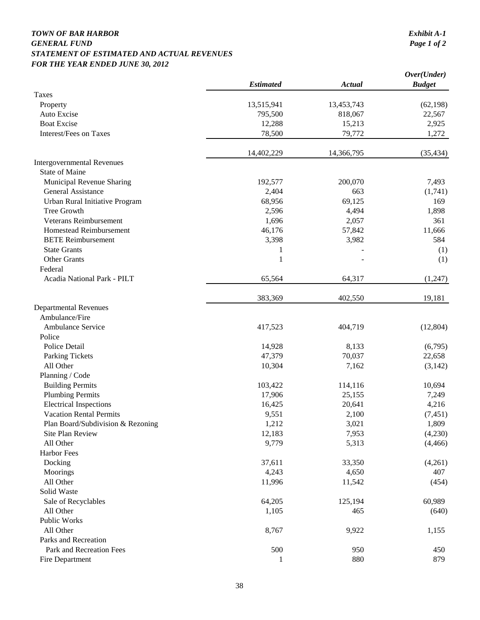## *TOWN OF BAR HARBOR Exhibit A-1 GENERAL FUND Page 1 of 2 STATEMENT OF ESTIMATED AND ACTUAL REVENUES FOR THE YEAR ENDED JUNE 30, 2012*

|                                   |                  |            | Over(Under)   |
|-----------------------------------|------------------|------------|---------------|
|                                   | <b>Estimated</b> | Actual     | <b>Budget</b> |
| Taxes                             |                  |            |               |
| Property                          | 13,515,941       | 13,453,743 | (62, 198)     |
| Auto Excise                       | 795,500          | 818,067    | 22,567        |
| <b>Boat Excise</b>                | 12,288           | 15,213     | 2,925         |
| Interest/Fees on Taxes            | 78,500           | 79,772     | 1,272         |
|                                   | 14,402,229       | 14,366,795 | (35, 434)     |
| <b>Intergovernmental Revenues</b> |                  |            |               |
| <b>State of Maine</b>             |                  |            |               |
| Municipal Revenue Sharing         | 192,577          | 200,070    | 7,493         |
| General Assistance                | 2,404            | 663        | (1,741)       |
| Urban Rural Initiative Program    | 68,956           | 69,125     | 169           |
| Tree Growth                       | 2,596            | 4,494      | 1,898         |
| Veterans Reimbursement            | 1,696            | 2,057      | 361           |
| Homestead Reimbursement           | 46,176           | 57,842     | 11,666        |
| <b>BETE Reimbursement</b>         | 3,398            | 3,982      | 584           |
| <b>State Grants</b>               | 1                |            | (1)           |
| Other Grants                      | $\mathbf{1}$     |            | (1)           |
| Federal                           |                  |            |               |
| Acadia National Park - PILT       | 65,564           | 64,317     | (1,247)       |
|                                   | 383,369          | 402,550    | 19,181        |
| <b>Departmental Revenues</b>      |                  |            |               |
| Ambulance/Fire                    |                  |            |               |
| Ambulance Service                 | 417,523          | 404,719    | (12,804)      |
| Police                            |                  |            |               |
| Police Detail                     | 14,928           | 8,133      | (6,795)       |
| Parking Tickets                   | 47,379           | 70,037     | 22,658        |
| All Other                         | 10,304           | 7,162      | (3,142)       |
| Planning / Code                   |                  |            |               |
| <b>Building Permits</b>           | 103,422          | 114,116    | 10,694        |
| <b>Plumbing Permits</b>           | 17,906           | 25,155     | 7,249         |
| <b>Electrical Inspections</b>     | 16,425           | 20,641     | 4,216         |
| <b>Vacation Rental Permits</b>    | 9,551            | 2,100      | (7, 451)      |
| Plan Board/Subdivision & Rezoning |                  | 3,021      | 1,809         |
| Site Plan Review                  | 1,212<br>12,183  | 7,953      | (4,230)       |
| All Other                         | 9,779            | 5,313      |               |
| <b>Harbor Fees</b>                |                  |            | (4, 466)      |
|                                   |                  |            |               |
| Docking                           | 37,611           | 33,350     | (4,261)       |
| Moorings                          | 4,243            | 4,650      | 407           |
| All Other                         | 11,996           | 11,542     | (454)         |
| Solid Waste                       |                  |            |               |
| Sale of Recyclables               | 64,205           | 125,194    | 60,989        |
| All Other                         | 1,105            | 465        | (640)         |
| <b>Public Works</b>               |                  |            |               |
| All Other                         | 8,767            | 9,922      | 1,155         |
| Parks and Recreation              |                  |            |               |
| Park and Recreation Fees          | 500              | 950        | 450           |
| Fire Department                   |                  | 880        | 879           |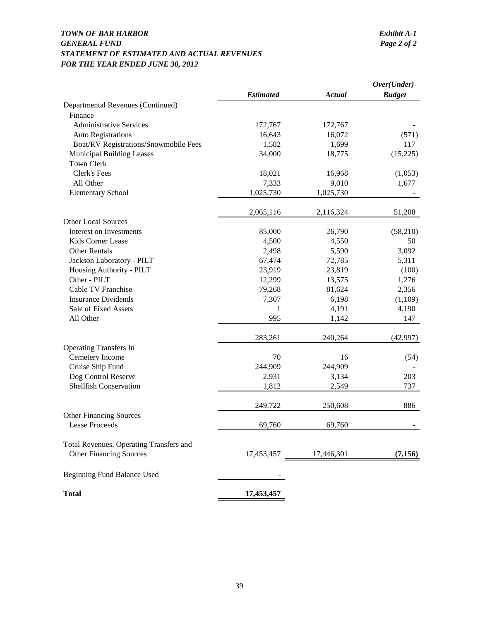## *TOWN OF BAR HARBOR Exhibit A-1 GENERAL FUND Page 2 of 2 STATEMENT OF ESTIMATED AND ACTUAL REVENUES FOR THE YEAR ENDED JUNE 30, 2012*

|                                         | <b>Estimated</b> | Actual     | Over(Under)<br><b>Budget</b> |
|-----------------------------------------|------------------|------------|------------------------------|
| Departmental Revenues (Continued)       |                  |            |                              |
| Finance                                 |                  |            |                              |
| <b>Administrative Services</b>          | 172,767          | 172,767    |                              |
| <b>Auto Registrations</b>               | 16,643           | 16,072     | (571)                        |
| Boat/RV Registrations/Snowmobile Fees   | 1,582            | 1,699      | 117                          |
| Municipal Building Leases               | 34,000           | 18,775     | (15,225)                     |
| <b>Town Clerk</b>                       |                  |            |                              |
| <b>Clerk's Fees</b>                     | 18,021           | 16,968     | (1,053)                      |
| All Other                               | 7,333            | 9,010      | 1,677                        |
| <b>Elementary School</b>                | 1,025,730        | 1,025,730  |                              |
|                                         | 2,065,116        | 2,116,324  | 51,208                       |
| <b>Other Local Sources</b>              |                  |            |                              |
| Interest on Investments                 | 85,000           | 26,790     | (58,210)                     |
| Kids Corner Lease                       | 4,500            | 4,550      | 50                           |
| <b>Other Rentals</b>                    | 2,498            | 5,590      | 3,092                        |
| Jackson Laboratory - PILT               | 67,474           | 72,785     | 5,311                        |
| Housing Authority - PILT                | 23,919           | 23,819     | (100)                        |
| Other - PILT                            | 12,299           | 13,575     | 1,276                        |
| Cable TV Franchise                      | 79,268           | 81,624     | 2,356                        |
| <b>Insurance Dividends</b>              | 7,307            | 6,198      | (1,109)                      |
| Sale of Fixed Assets                    | 1                | 4,191      | 4,190                        |
| All Other                               | 995              | 1,142      | 147                          |
|                                         | 283,261          | 240,264    | (42,997)                     |
| <b>Operating Transfers In</b>           |                  |            |                              |
| Cemetery Income                         | 70               | 16         | (54)                         |
| Cruise Ship Fund                        | 244,909          | 244,909    |                              |
| Dog Control Reserve                     | 2,931            | 3,134      | 203                          |
| <b>Shellfish Conservation</b>           | 1,812            | 2,549      | 737                          |
|                                         | 249,722          | 250,608    | 886                          |
| <b>Other Financing Sources</b>          |                  |            |                              |
| <b>Lease Proceeds</b>                   | 69,760           | 69,760     |                              |
| Total Revenues, Operating Transfers and |                  |            |                              |
| <b>Other Financing Sources</b>          | 17,453,457       | 17,446,301 | (7,156)                      |
| <b>Beginning Fund Balance Used</b>      |                  |            |                              |
| <b>Total</b>                            | 17,453,457       |            |                              |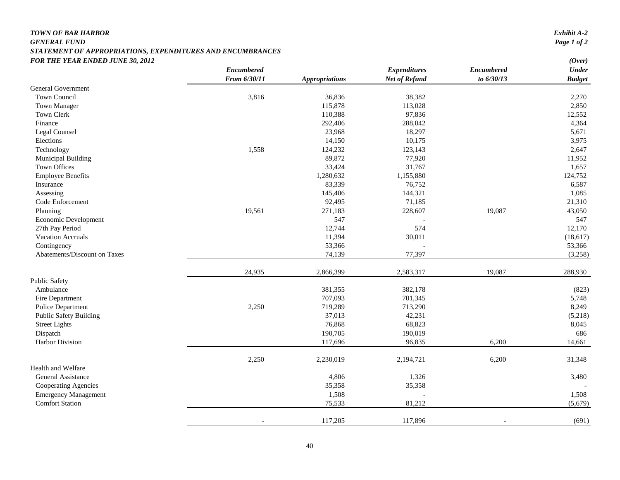#### *TOWN OF BAR HARBOR Exhibit A-2*

## *GENERAL FUND Page 1 of 2 STATEMENT OF APPROPRIATIONS, EXPENDITURES AND ENCUMBRANCES*

| Exhibit A-2                  |  |
|------------------------------|--|
| $D_{a\alpha\alpha}$ 1 of $'$ |  |

| FOR THE YEAR ENDED JUNE 30, 2012 |                   |                       |                      |                   | (Over)        |
|----------------------------------|-------------------|-----------------------|----------------------|-------------------|---------------|
|                                  | <b>Encumbered</b> |                       | <b>Expenditures</b>  | <b>Encumbered</b> | <b>Under</b>  |
|                                  | From 6/30/11      | <b>Appropriations</b> | <b>Net of Refund</b> | to 6/30/13        | <b>Budget</b> |
| <b>General Government</b>        |                   |                       |                      |                   |               |
| Town Council                     | 3,816             | 36,836                | 38,382               |                   | 2,270         |
| Town Manager                     |                   | 115,878               | 113,028              |                   | 2,850         |
| Town Clerk                       |                   | 110,388               | 97,836               |                   | 12,552        |
| Finance                          |                   | 292,406               | 288,042              |                   | 4,364         |
| Legal Counsel                    |                   | 23,968                | 18,297               |                   | 5,671         |
| Elections                        |                   | 14,150                | 10,175               |                   | 3,975         |
| Technology                       | 1,558             | 124,232               | 123,143              |                   | 2,647         |
| <b>Municipal Building</b>        |                   | 89,872                | 77,920               |                   | 11,952        |
| <b>Town Offices</b>              |                   | 33,424                | 31,767               |                   | 1,657         |
| <b>Employee Benefits</b>         |                   | 1,280,632             | 1,155,880            |                   | 124,752       |
| Insurance                        |                   | 83,339                | 76,752               |                   | 6,587         |
| Assessing                        |                   | 145,406               | 144,321              |                   | 1,085         |
| Code Enforcement                 |                   | 92,495                | 71,185               |                   | 21,310        |
| Planning                         | 19,561            | 271,183               | 228,607              | 19,087            | 43,050        |
| Economic Development             |                   | 547                   |                      |                   | 547           |
| 27th Pay Period                  |                   | 12,744                | 574                  |                   | 12,170        |
| Vacation Accruals                |                   | 11,394                | 30,011               |                   | (18, 617)     |
| Contingency                      |                   | 53,366                |                      |                   | 53,366        |
| Abatements/Discount on Taxes     |                   | 74,139                | 77,397               |                   | (3,258)       |
|                                  | 24,935            | 2,866,399             | 2,583,317            | 19,087            | 288,930       |
| <b>Public Safety</b>             |                   |                       |                      |                   |               |
| Ambulance                        |                   | 381,355               | 382,178              |                   | (823)         |
| Fire Department                  |                   | 707,093               | 701,345              |                   | 5,748         |
| Police Department                | 2,250             | 719,289               | 713,290              |                   | 8,249         |
| <b>Public Safety Building</b>    |                   | 37,013                | 42,231               |                   | (5,218)       |
| <b>Street Lights</b>             |                   | 76,868                | 68,823               |                   | 8,045         |
| Dispatch                         |                   | 190,705               | 190,019              |                   | 686           |
| Harbor Division                  |                   | 117,696               | 96,835               | 6,200             | 14,661        |
|                                  | 2,250             | 2,230,019             | 2,194,721            | 6,200             | 31,348        |
| Health and Welfare               |                   |                       |                      |                   |               |
| General Assistance               |                   | 4,806                 | 1,326                |                   | 3,480         |
| Cooperating Agencies             |                   | 35,358                | 35,358               |                   |               |
| <b>Emergency Management</b>      |                   | 1,508                 |                      |                   | 1,508         |
| <b>Comfort Station</b>           |                   | 75,533                | 81,212               |                   | (5,679)       |
|                                  |                   | 117,205               | 117,896              |                   | (691)         |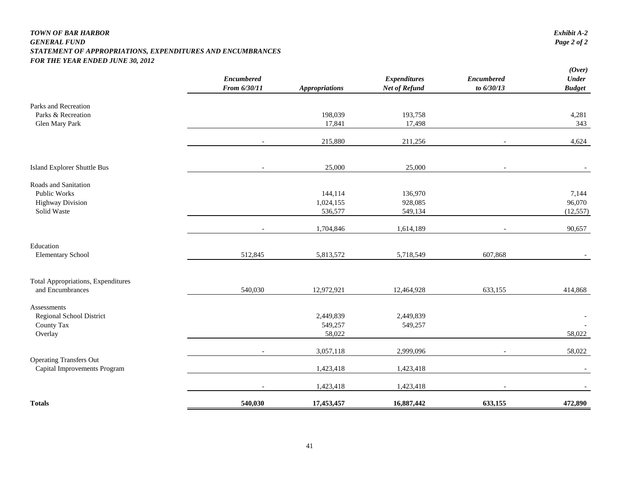#### *TOWN OF BAR HARBOR Exhibit A-2 GENERAL FUND Page 2 of 2 STATEMENT OF APPROPRIATIONS, EXPENDITURES AND ENCUMBRANCES FOR THE YEAR ENDED JUNE 30, 2012*

|                                                                | Encumbered               |                       |                                             | <b>Encumbered</b>        | (Over)<br>Under |
|----------------------------------------------------------------|--------------------------|-----------------------|---------------------------------------------|--------------------------|-----------------|
|                                                                | From 6/30/11             | <b>Appropriations</b> | <b>Expenditures</b><br><b>Net of Refund</b> | to 6/30/13               | <b>Budget</b>   |
| Parks and Recreation                                           |                          |                       |                                             |                          |                 |
| Parks & Recreation                                             |                          | 198,039               | 193,758                                     |                          | 4,281           |
| Glen Mary Park                                                 |                          | 17,841                | 17,498                                      |                          | 343             |
|                                                                |                          | 215,880               | 211,256                                     | $\overline{\phantom{a}}$ | 4,624           |
| Island Explorer Shuttle Bus                                    | $\overline{\phantom{a}}$ | 25,000                | 25,000                                      | $\blacksquare$           |                 |
| Roads and Sanitation                                           |                          |                       |                                             |                          |                 |
| Public Works                                                   |                          | 144,114               | 136,970                                     |                          | 7,144           |
| <b>Highway Division</b>                                        |                          | 1,024,155             | 928,085                                     |                          | 96,070          |
| Solid Waste                                                    |                          | 536,577               | 549,134                                     |                          | (12, 557)       |
|                                                                |                          | 1,704,846             | 1,614,189                                   |                          | 90,657          |
| Education                                                      |                          |                       |                                             |                          |                 |
| <b>Elementary School</b>                                       | 512,845                  | 5,813,572             | 5,718,549                                   | 607,868                  |                 |
| <b>Total Appropriations, Expenditures</b>                      |                          |                       |                                             |                          |                 |
| and Encumbrances                                               | 540,030                  | 12,972,921            | 12,464,928                                  | 633,155                  | 414,868         |
| Assessments                                                    |                          |                       |                                             |                          |                 |
| Regional School District                                       |                          | 2,449,839             | 2,449,839                                   |                          |                 |
| <b>County Tax</b>                                              |                          | 549,257               | 549,257                                     |                          |                 |
| Overlay                                                        |                          | 58,022                |                                             |                          | 58,022          |
|                                                                |                          | 3,057,118             | 2,999,096                                   |                          | 58,022          |
| <b>Operating Transfers Out</b><br>Capital Improvements Program |                          | 1,423,418             | 1,423,418                                   |                          |                 |
|                                                                |                          | 1,423,418             | 1,423,418                                   |                          |                 |
| <b>Totals</b>                                                  | 540,030                  | 17,453,457            | 16,887,442                                  | 633,155                  | 472,890         |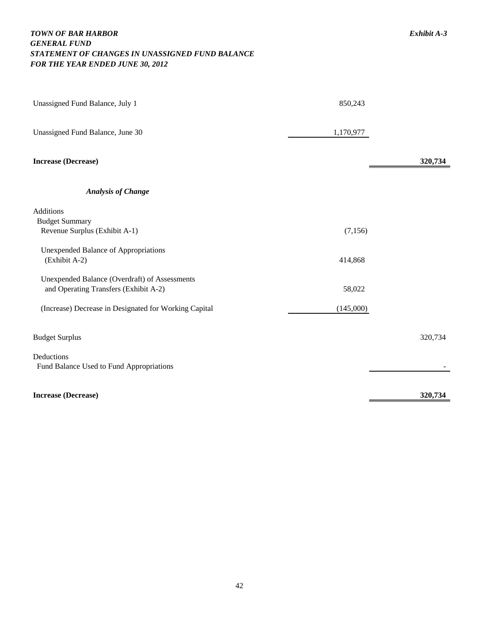## *TOWN OF BAR HARBOR Exhibit A-3 GENERAL FUND STATEMENT OF CHANGES IN UNASSIGNED FUND BALANCE FOR THE YEAR ENDED JUNE 30, 2012*

| Unassigned Fund Balance, July 1                                                        | 850,243   |         |
|----------------------------------------------------------------------------------------|-----------|---------|
| Unassigned Fund Balance, June 30                                                       | 1,170,977 |         |
| <b>Increase (Decrease)</b>                                                             |           | 320,734 |
| <b>Analysis of Change</b>                                                              |           |         |
| <b>Additions</b>                                                                       |           |         |
| <b>Budget Summary</b><br>Revenue Surplus (Exhibit A-1)                                 | (7, 156)  |         |
| Unexpended Balance of Appropriations<br>(Exhibit A-2)                                  | 414,868   |         |
| Unexpended Balance (Overdraft) of Assessments<br>and Operating Transfers (Exhibit A-2) | 58,022    |         |
| (Increase) Decrease in Designated for Working Capital                                  | (145,000) |         |
| <b>Budget Surplus</b>                                                                  |           | 320,734 |
| Deductions<br>Fund Balance Used to Fund Appropriations                                 |           |         |
| <b>Increase (Decrease)</b>                                                             |           | 320,734 |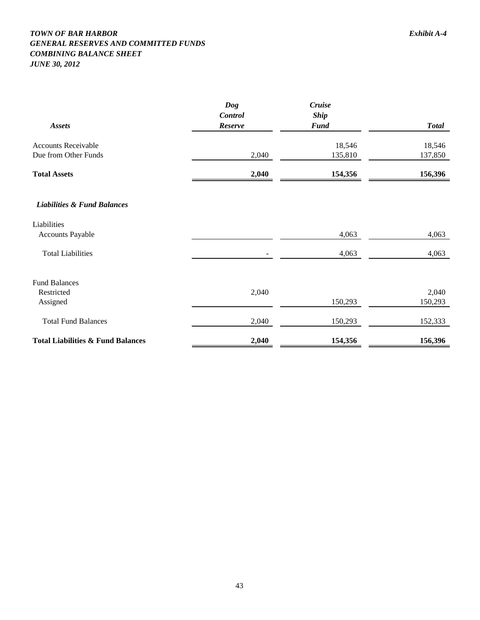## *TOWN OF BAR HARBOR Exhibit A-4 GENERAL RESERVES AND COMMITTED FUNDS COMBINING BALANCE SHEET JUNE 30, 2012*

|                                              | Dog     | <b>Cruise</b> |              |
|----------------------------------------------|---------|---------------|--------------|
|                                              | Control | <b>Ship</b>   |              |
| <b>Assets</b>                                | Reserve | <b>Fund</b>   | <b>Total</b> |
| <b>Accounts Receivable</b>                   |         | 18,546        | 18,546       |
| Due from Other Funds                         | 2,040   | 135,810       | 137,850      |
| <b>Total Assets</b>                          | 2,040   | 154,356       | 156,396      |
|                                              |         |               |              |
| <b>Liabilities &amp; Fund Balances</b>       |         |               |              |
| Liabilities                                  |         |               |              |
| <b>Accounts Payable</b>                      |         | 4,063         | 4,063        |
| <b>Total Liabilities</b>                     |         | 4,063         | 4,063        |
|                                              |         |               |              |
| <b>Fund Balances</b>                         |         |               |              |
| Restricted                                   | 2,040   |               | 2,040        |
| Assigned                                     |         | 150,293       | 150,293      |
| <b>Total Fund Balances</b>                   | 2,040   | 150,293       | 152,333      |
| <b>Total Liabilities &amp; Fund Balances</b> | 2,040   | 154,356       | 156,396      |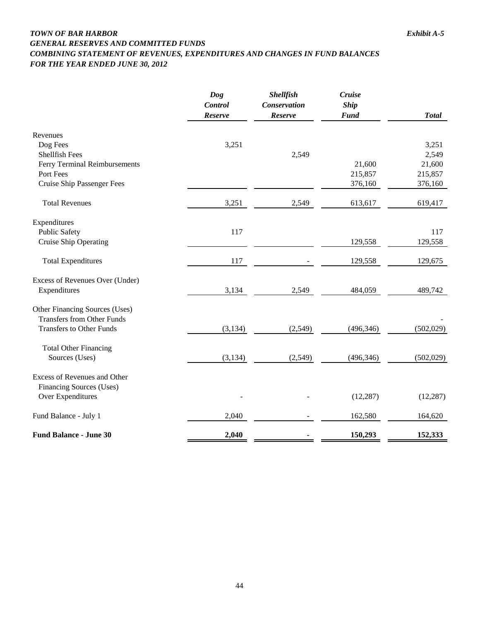## *TOWN OF BAR HARBOR Exhibit A-5 GENERAL RESERVES AND COMMITTED FUNDS COMBINING STATEMENT OF REVENUES, EXPENDITURES AND CHANGES IN FUND BALANCES FOR THE YEAR ENDED JUNE 30, 2012*

|                                   | <b>Dog</b><br>Control<br><b>Reserve</b> | <b>Shellfish</b><br>Conservation<br><b>Reserve</b> | <b>Cruise</b><br><b>Ship</b><br><b>Fund</b> | <b>Total</b> |
|-----------------------------------|-----------------------------------------|----------------------------------------------------|---------------------------------------------|--------------|
| Revenues                          |                                         |                                                    |                                             |              |
| Dog Fees                          | 3,251                                   |                                                    |                                             | 3,251        |
| <b>Shellfish Fees</b>             |                                         | 2,549                                              |                                             | 2,549        |
| Ferry Terminal Reimbursements     |                                         |                                                    | 21,600                                      | 21,600       |
| Port Fees                         |                                         |                                                    | 215,857                                     | 215,857      |
| Cruise Ship Passenger Fees        |                                         |                                                    | 376,160                                     | 376,160      |
| <b>Total Revenues</b>             | 3,251                                   | 2,549                                              | 613,617                                     | 619,417      |
| Expenditures                      |                                         |                                                    |                                             |              |
| <b>Public Safety</b>              | 117                                     |                                                    |                                             | 117          |
| <b>Cruise Ship Operating</b>      |                                         |                                                    | 129,558                                     | 129,558      |
| <b>Total Expenditures</b>         | 117                                     |                                                    | 129,558                                     | 129,675      |
| Excess of Revenues Over (Under)   |                                         |                                                    |                                             |              |
| Expenditures                      | 3,134                                   | 2,549                                              | 484,059                                     | 489,742      |
| Other Financing Sources (Uses)    |                                         |                                                    |                                             |              |
| <b>Transfers from Other Funds</b> |                                         |                                                    |                                             |              |
| <b>Transfers to Other Funds</b>   | (3, 134)                                | (2,549)                                            | (496, 346)                                  | (502, 029)   |
| <b>Total Other Financing</b>      |                                         |                                                    |                                             |              |
| Sources (Uses)                    | (3, 134)                                | (2,549)                                            | (496, 346)                                  | (502, 029)   |
| Excess of Revenues and Other      |                                         |                                                    |                                             |              |
| Financing Sources (Uses)          |                                         |                                                    |                                             |              |
| Over Expenditures                 |                                         |                                                    | (12, 287)                                   | (12, 287)    |
| Fund Balance - July 1             | 2,040                                   |                                                    | 162,580                                     | 164,620      |
| <b>Fund Balance - June 30</b>     | 2,040                                   |                                                    | 150,293                                     | 152,333      |
|                                   |                                         |                                                    |                                             |              |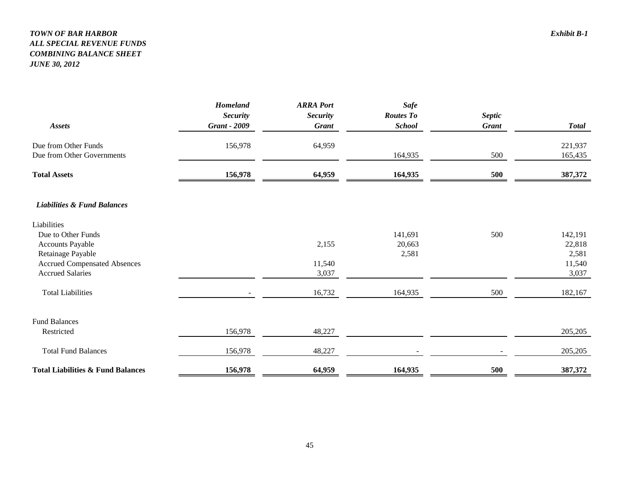## *TOWN OF BAR HARBOR Exhibit B-1 ALL SPECIAL REVENUE FUNDS COMBINING BALANCE SHEET JUNE 30, 2012*

|                                              | Homeland            | <b>ARRA Port</b> | <b>Safe</b>      |               |              |
|----------------------------------------------|---------------------|------------------|------------------|---------------|--------------|
|                                              | <b>Security</b>     | <b>Security</b>  | <b>Routes To</b> | <b>Septic</b> |              |
| <b>Assets</b>                                | <b>Grant - 2009</b> | <b>Grant</b>     | <b>School</b>    | <b>Grant</b>  | <b>Total</b> |
| Due from Other Funds                         | 156,978             | 64,959           |                  |               | 221,937      |
| Due from Other Governments                   |                     |                  | 164,935          | 500           | 165,435      |
| <b>Total Assets</b>                          | 156,978             | 64,959           | 164,935          | 500           | 387,372      |
| <b>Liabilities &amp; Fund Balances</b>       |                     |                  |                  |               |              |
| Liabilities                                  |                     |                  |                  |               |              |
| Due to Other Funds                           |                     |                  | 141,691          | 500           | 142,191      |
| <b>Accounts Payable</b>                      |                     | 2,155            | 20,663           |               | 22,818       |
| Retainage Payable                            |                     |                  | 2,581            |               | 2,581        |
| <b>Accrued Compensated Absences</b>          |                     | 11,540           |                  |               | 11,540       |
| <b>Accrued Salaries</b>                      |                     | 3,037            |                  |               | 3,037        |
| <b>Total Liabilities</b>                     |                     | 16,732           | 164,935          | 500           | 182,167      |
| <b>Fund Balances</b>                         |                     |                  |                  |               |              |
| Restricted                                   | 156,978             | 48,227           |                  |               | 205,205      |
| <b>Total Fund Balances</b>                   | 156,978             | 48,227           |                  |               | 205,205      |
| <b>Total Liabilities &amp; Fund Balances</b> | 156,978             | 64,959           | 164,935          | 500           | 387,372      |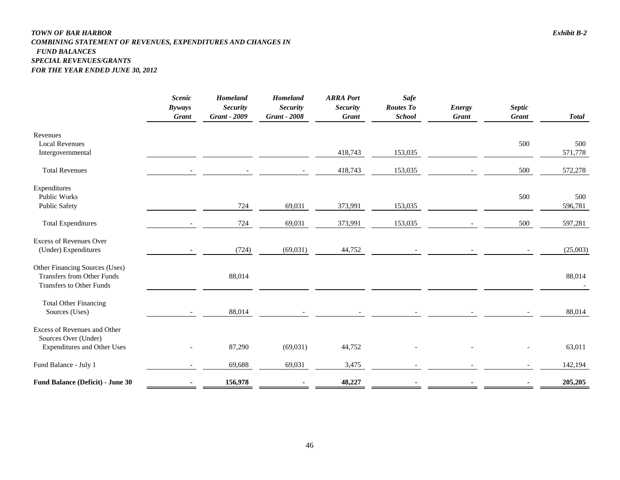#### *TOWN OF BAR HARBOR Exhibit B-2 COMBINING STATEMENT OF REVENUES, EXPENDITURES AND CHANGES IN FUND BALANCES SPECIAL REVENUES/GRANTS FOR THE YEAR ENDED JUNE 30, 2012*

|                                                | <b>Scenic</b><br><b>Byways</b><br><b>Grant</b> | Homeland<br><b>Security</b><br><b>Grant - 2009</b> | <b>Homeland</b><br><b>Security</b><br><b>Grant - 2008</b> | <b>ARRA Port</b><br><b>Security</b><br><b>Grant</b> | <b>Safe</b><br>Routes To<br><b>School</b> | <b>Energy</b><br><b>Grant</b> | <b>Septic</b><br><b>Grant</b> | <b>Total</b> |
|------------------------------------------------|------------------------------------------------|----------------------------------------------------|-----------------------------------------------------------|-----------------------------------------------------|-------------------------------------------|-------------------------------|-------------------------------|--------------|
| Revenues                                       |                                                |                                                    |                                                           |                                                     |                                           |                               |                               |              |
| <b>Local Revenues</b>                          |                                                |                                                    |                                                           |                                                     |                                           |                               | 500                           | 500          |
| Intergovernmental                              |                                                |                                                    |                                                           | 418,743                                             | 153,035                                   |                               |                               | 571,778      |
|                                                |                                                |                                                    |                                                           |                                                     |                                           |                               |                               |              |
| <b>Total Revenues</b>                          |                                                |                                                    |                                                           | 418,743                                             | 153,035                                   |                               | 500                           | 572,278      |
| Expenditures                                   |                                                |                                                    |                                                           |                                                     |                                           |                               |                               |              |
| <b>Public Works</b>                            |                                                |                                                    |                                                           |                                                     |                                           |                               | 500                           | 500          |
| <b>Public Safety</b>                           |                                                | 724                                                | 69,031                                                    | 373,991                                             | 153,035                                   |                               |                               | 596,781      |
| <b>Total Expenditures</b>                      |                                                | 724                                                | 69,031                                                    | 373,991                                             | 153,035                                   |                               | 500                           | 597,281      |
|                                                |                                                |                                                    |                                                           |                                                     |                                           |                               |                               |              |
| <b>Excess of Revenues Over</b>                 |                                                |                                                    |                                                           |                                                     |                                           |                               |                               |              |
| (Under) Expenditures                           |                                                | (724)                                              | (69, 031)                                                 | 44,752                                              |                                           |                               |                               | (25,003)     |
| Other Financing Sources (Uses)                 |                                                |                                                    |                                                           |                                                     |                                           |                               |                               |              |
| <b>Transfers from Other Funds</b>              |                                                | 88,014                                             |                                                           |                                                     |                                           |                               |                               | 88,014       |
| <b>Transfers to Other Funds</b>                |                                                |                                                    |                                                           |                                                     |                                           |                               |                               |              |
|                                                |                                                |                                                    |                                                           |                                                     |                                           |                               |                               |              |
| <b>Total Other Financing</b><br>Sources (Uses) |                                                | 88,014                                             |                                                           |                                                     |                                           |                               |                               | 88,014       |
|                                                |                                                |                                                    |                                                           |                                                     |                                           |                               |                               |              |
| Excess of Revenues and Other                   |                                                |                                                    |                                                           |                                                     |                                           |                               |                               |              |
| Sources Over (Under)                           |                                                |                                                    |                                                           |                                                     |                                           |                               |                               |              |
| <b>Expenditures and Other Uses</b>             |                                                | 87,290                                             | (69, 031)                                                 | 44,752                                              |                                           |                               |                               | 63,011       |
| Fund Balance - July 1                          |                                                | 69,688                                             | 69,031                                                    | 3,475                                               |                                           |                               |                               | 142,194      |
| <b>Fund Balance (Deficit) - June 30</b>        |                                                | 156,978                                            |                                                           | 48,227                                              |                                           |                               |                               | 205,205      |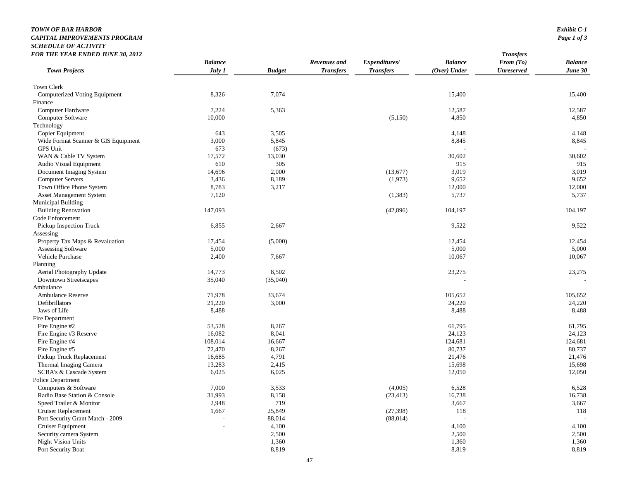#### *TOWN OF BAR HARBOR Exhibit C-1 CAPITAL IMPROVEMENTS PROGRAM SCHEDULE OF ACTIVITY FOR THE YEAR ENDED JUNE 30, 2012 Transfers*

| F UK THE TEAK ENDED JONE 30, 2012<br><b>Town Projects</b> | <b>Balance</b><br>July 1 | <b>Budget</b> | Revenues and<br><b>Transfers</b> | Expenditures/<br><b>Transfers</b> | <b>Balance</b><br>(Over) Under | riunsjers<br>From $(To)$<br><b>Unreserved</b> | $\label{1} \textit{Balance}$<br>June 30 |
|-----------------------------------------------------------|--------------------------|---------------|----------------------------------|-----------------------------------|--------------------------------|-----------------------------------------------|-----------------------------------------|
| Town Clerk                                                |                          |               |                                  |                                   |                                |                                               |                                         |
| Computerized Voting Equipment                             | 8,326                    | 7,074         |                                  |                                   | 15,400                         |                                               | 15,400                                  |
| Finance                                                   |                          |               |                                  |                                   |                                |                                               |                                         |
| Computer Hardware                                         | 7,224                    | 5,363         |                                  |                                   | 12,587                         |                                               | 12,587                                  |
| Computer Software                                         | 10,000                   |               |                                  | (5, 150)                          | 4,850                          |                                               | 4,850                                   |
| Technology                                                |                          |               |                                  |                                   |                                |                                               |                                         |
| Copier Equipment                                          | 643                      | 3,505         |                                  |                                   | 4,148                          |                                               | 4,148                                   |
| Wide Format Scanner & GIS Equipment                       | 3,000                    | 5,845         |                                  |                                   | 8,845                          |                                               | 8,845                                   |
| <b>GPS</b> Unit                                           | 673                      | (673)         |                                  |                                   |                                |                                               |                                         |
| WAN & Cable TV System                                     | 17,572                   | 13,030        |                                  |                                   | 30,602                         |                                               | 30,602                                  |
| Audio Visual Equipment                                    | 610                      | 305           |                                  |                                   | 915                            |                                               | 915                                     |
| Document Imaging System                                   | 14,696                   | 2,000         |                                  | (13,677)                          | 3,019                          |                                               | 3,019                                   |
| <b>Computer Servers</b>                                   | 3,436                    | 8,189         |                                  | (1,973)                           | 9,652                          |                                               | 9,652                                   |
| Town Office Phone System                                  | 8,783                    | 3,217         |                                  |                                   | 12,000                         |                                               | 12,000                                  |
| <b>Asset Management System</b>                            | 7,120                    |               |                                  | (1,383)                           | 5,737                          |                                               | 5,737                                   |
| <b>Municipal Building</b>                                 |                          |               |                                  |                                   |                                |                                               |                                         |
| <b>Building Renovation</b>                                | 147,093                  |               |                                  | (42,896)                          | 104,197                        |                                               | 104,197                                 |
| Code Enforcement                                          |                          |               |                                  |                                   |                                |                                               |                                         |
| Pickup Inspection Truck                                   | 6,855                    | 2,667         |                                  |                                   | 9,522                          |                                               | 9,522                                   |
| Assessing                                                 |                          |               |                                  |                                   |                                |                                               |                                         |
| Property Tax Maps & Revaluation                           | 17,454                   | (5,000)       |                                  |                                   | 12,454                         |                                               | 12,454                                  |
| <b>Assessing Software</b>                                 | 5,000                    |               |                                  |                                   | 5,000                          |                                               | 5,000                                   |
| Vehicle Purchase                                          | 2,400                    | 7,667         |                                  |                                   | 10,067                         |                                               | 10,067                                  |
| Planning                                                  |                          |               |                                  |                                   |                                |                                               |                                         |
| Aerial Photography Update                                 | 14,773                   | 8,502         |                                  |                                   | 23,275                         |                                               | 23,275                                  |
| <b>Downtown Streetscapes</b>                              | 35,040                   | (35,040)      |                                  |                                   |                                |                                               |                                         |
| Ambulance                                                 |                          |               |                                  |                                   |                                |                                               |                                         |
| <b>Ambulance Reserve</b>                                  | 71,978                   | 33,674        |                                  |                                   | 105,652                        |                                               | 105,652                                 |
| Defibrillators                                            | 21,220                   | 3,000         |                                  |                                   | 24,220                         |                                               | 24,220                                  |
| Jaws of Life                                              | 8,488                    |               |                                  |                                   | 8,488                          |                                               | 8,488                                   |
| <b>Fire Department</b>                                    |                          |               |                                  |                                   |                                |                                               |                                         |
| Fire Engine #2                                            | 53,528                   | 8,267         |                                  |                                   | 61,795                         |                                               | 61,795                                  |
| Fire Engine #3 Reserve                                    | 16,082                   | 8,041         |                                  |                                   | 24,123                         |                                               | 24,123                                  |
| Fire Engine #4                                            | 108,014                  | 16,667        |                                  |                                   | 124,681                        |                                               | 124,681                                 |
| Fire Engine #5                                            | 72,470                   | 8,267         |                                  |                                   | 80,737                         |                                               | 80,737                                  |
| Pickup Truck Replacement                                  | 16,685                   | 4,791         |                                  |                                   | 21,476                         |                                               | 21,476                                  |
| Thermal Imaging Camera                                    | 13,283                   | 2,415         |                                  |                                   | 15,698                         |                                               | 15,698                                  |
| SCBA's & Cascade System                                   | 6,025                    | 6,025         |                                  |                                   | 12,050                         |                                               | 12,050                                  |
| Police Department                                         |                          |               |                                  |                                   |                                |                                               |                                         |
| Computers & Software                                      | 7,000                    | 3,533         |                                  | (4,005)                           | 6,528                          |                                               | 6,528                                   |
| Radio Base Station & Console                              | 31,993                   | 8,158         |                                  | (23, 413)                         | 16,738                         |                                               | 16,738                                  |
| Speed Trailer & Monitor                                   | 2,948                    | 719           |                                  |                                   | 3,667                          |                                               | 3,667                                   |
| Cruiser Replacement                                       | 1,667                    | 25,849        |                                  | (27, 398)                         | 118                            |                                               | 118                                     |
| Port Security Grant Match - 2009                          |                          | 88,014        |                                  | (88,014)                          |                                |                                               |                                         |
| Cruiser Equipment                                         | $\overline{a}$           | 4,100         |                                  |                                   | 4,100                          |                                               | 4,100                                   |
| Security camera System                                    |                          | 2,500         |                                  |                                   | 2,500                          |                                               | 2,500                                   |
| <b>Night Vision Units</b>                                 |                          | 1,360         |                                  |                                   | 1,360                          |                                               | 1,360                                   |
| Port Security Boat                                        |                          | 8,819         |                                  |                                   | 8,819                          |                                               | 8,819                                   |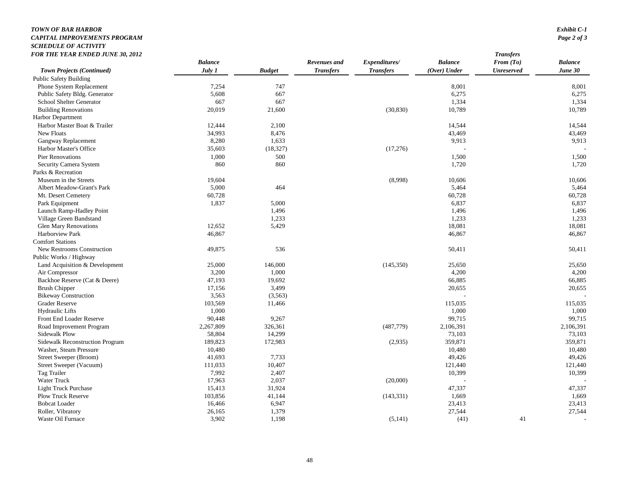#### *TOWN OF BAR HARBOR Exhibit C-1 CAPITAL IMPROVEMENTS PROGRAM SCHEDULE OF ACTIVITY FOR THE YEAR ENDED JUNE 30, 2012 Transfers*

| FOR THE TEAR ENDED JONE 30, 2012 |                |               |                  |                  |                | <i><b>Transjers</b></i> |                |
|----------------------------------|----------------|---------------|------------------|------------------|----------------|-------------------------|----------------|
|                                  | <b>Balance</b> |               | Revenues and     | Expenditures/    | <b>Balance</b> | From $(T_0)$            | <b>Balance</b> |
| <b>Town Projects (Continued)</b> | July 1         | <b>Budget</b> | <b>Transfers</b> | <b>Transfers</b> | $(Over)$ Under | Unreserved              | June 30        |
| <b>Public Safety Building</b>    |                |               |                  |                  |                |                         |                |
| Phone System Replacement         | 7,254          | 747           |                  |                  | 8,001          |                         | 8,001          |
| Public Safety Bldg. Generator    | 5,608          | 667           |                  |                  | 6,275          |                         | 6,275          |
| School Shelter Generator         | 667            | 667           |                  |                  | 1,334          |                         | 1,334          |
| <b>Building Renovations</b>      | 20,019         | 21,600        |                  | (30, 830)        | 10,789         |                         | 10,789         |
| Harbor Department                |                |               |                  |                  |                |                         |                |
| Harbor Master Boat & Trailer     | 12,444         | 2,100         |                  |                  | 14,544         |                         | 14,544         |
| New Floats                       | 34,993         | 8,476         |                  |                  | 43,469         |                         | 43,469         |
| Gangway Replacement              | 8,280          | 1,633         |                  |                  | 9,913          |                         | 9,913          |
| Harbor Master's Office           | 35,603         | (18, 327)     |                  | (17,276)         |                |                         |                |
| Pier Renovations                 | 1,000          | 500           |                  |                  | 1,500          |                         | 1,500          |
| Security Camera System           | 860            | 860           |                  |                  | 1,720          |                         | 1,720          |
| Parks & Recreation               |                |               |                  |                  |                |                         |                |
| Museum in the Streets            | 19,604         |               |                  | (8,998)          | 10,606         |                         | 10,606         |
| Albert Meadow-Grant's Park       | 5,000          | 464           |                  |                  | 5,464          |                         | 5,464          |
| Mt. Desert Cemetery              | 60,728         |               |                  |                  | 60,728         |                         | 60,728         |
| Park Equipment                   | 1,837          | 5,000         |                  |                  | 6,837          |                         | 6,837          |
| Launch Ramp-Hadley Point         |                | 1,496         |                  |                  | 1,496          |                         | 1,496          |
| Village Green Bandstand          |                | 1,233         |                  |                  | 1,233          |                         | 1,233          |
| <b>Glen Mary Renovations</b>     | 12,652         | 5,429         |                  |                  | 18,081         |                         | 18,081         |
| Harborview Park                  | 46,867         |               |                  |                  | 46,867         |                         | 46,867         |
| <b>Comfort Stations</b>          |                |               |                  |                  |                |                         |                |
| New Restrooms Construction       | 49,875         | 536           |                  |                  | 50,411         |                         | 50,411         |
| Public Works / Highway           |                |               |                  |                  |                |                         |                |
| Land Acquisition & Development   | 25,000         | 146,000       |                  | (145, 350)       | 25,650         |                         | 25,650         |
| Air Compressor                   | 3,200          | 1,000         |                  |                  | 4,200          |                         | 4,200          |
| Backhoe Reserve (Cat & Deere)    | 47,193         | 19,692        |                  |                  | 66,885         |                         | 66,885         |
| <b>Brush Chipper</b>             | 17,156         | 3,499         |                  |                  | 20,655         |                         | 20,655         |
| <b>Bikeway Construction</b>      | 3,563          | (3, 563)      |                  |                  |                |                         |                |
| <b>Grader Reserve</b>            | 103,569        | 11,466        |                  |                  | 115,035        |                         | 115,035        |
| <b>Hydraulic Lifts</b>           | 1,000          |               |                  |                  | 1,000          |                         | 1,000          |
| Front End Loader Reserve         | 90,448         | 9,267         |                  |                  | 99,715         |                         | 99,715         |
| Road Improvement Program         | 2,267,809      | 326,361       |                  | (487,779)        | 2,106,391      |                         | 2,106,391      |
| Sidewalk Plow                    | 58,804         | 14,299        |                  |                  | 73,103         |                         | 73,103         |
| Sidewalk Reconstruction Program  | 189,823        | 172,983       |                  | (2,935)          | 359,871        |                         | 359,871        |
| Washer, Steam Pressure           | 10,480         |               |                  |                  | 10,480         |                         | 10,480         |
| Street Sweeper (Broom)           | 41,693         | 7,733         |                  |                  | 49,426         |                         | 49,426         |
| Street Sweeper (Vacuum)          | 111,033        | 10,407        |                  |                  | 121,440        |                         | 121,440        |
| Tag Trailer                      | 7,992          | 2,407         |                  |                  | 10,399         |                         | 10,399         |
| Water Truck                      | 17,963         | 2,037         |                  | (20,000)         |                |                         |                |
| <b>Light Truck Purchase</b>      | 15,413         | 31,924        |                  |                  | 47,337         |                         | 47,337         |
| <b>Plow Truck Reserve</b>        | 103,856        | 41,144        |                  | (143, 331)       | 1,669          |                         | 1,669          |
| <b>Bobcat Loader</b>             | 16,466         | 6,947         |                  |                  | 23,413         |                         | 23,413         |
| Roller, Vibratory                | 26,165         | 1,379         |                  |                  | 27,544         |                         | 27,544         |
| Waste Oil Furnace                | 3,902          | 1,198         |                  | (5, 141)         |                | 41                      |                |
|                                  |                |               |                  |                  | (41)           |                         |                |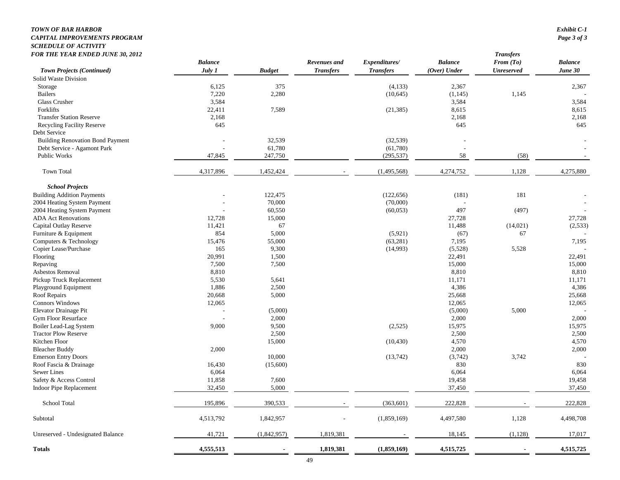#### *TOWN OF BAR HARBOR Exhibit C-1 CAPITAL IMPROVEMENTS PROGRAM SCHEDULE OF ACTIVITY FOR THE YEAR ENDED JUNE 30, 2012 Transfers*

| OR THE TEAR ENDED JONE 30, 2012<br><b>Town Projects (Continued)</b> | <b>Balance</b><br>July 1 | <b>Budget</b> | Revenues and<br><b>Transfers</b> | Expenditures/<br><b>Transfers</b> | <b>Balance</b><br>(Over) Under | riansjers<br>From (To)<br><b>Unreserved</b> | <b>Balance</b><br>June 30 |
|---------------------------------------------------------------------|--------------------------|---------------|----------------------------------|-----------------------------------|--------------------------------|---------------------------------------------|---------------------------|
| Solid Waste Division                                                |                          |               |                                  |                                   |                                |                                             |                           |
| Storage                                                             | 6,125                    | 375           |                                  | (4, 133)                          | 2,367                          |                                             | 2,367                     |
| <b>Bailers</b>                                                      | 7,220                    | 2,280         |                                  | (10,645)                          | (1, 145)                       | 1,145                                       |                           |
| Glass Crusher                                                       | 3,584                    |               |                                  |                                   | 3,584                          |                                             | 3,584                     |
| Forklifts                                                           | 22,411                   | 7,589         |                                  | (21, 385)                         | 8,615                          |                                             | 8,615                     |
| <b>Transfer Station Reserve</b>                                     | 2,168                    |               |                                  |                                   | 2,168                          |                                             | 2,168                     |
| Recycling Facility Reserve                                          | 645                      |               |                                  |                                   | 645                            |                                             | 645                       |
| Debt Service                                                        |                          |               |                                  |                                   |                                |                                             |                           |
| <b>Building Renovation Bond Payment</b>                             |                          | 32,539        |                                  | (32, 539)                         |                                |                                             |                           |
| Debt Service - Agamont Park                                         |                          | 61,780        |                                  | (61,780)                          |                                |                                             |                           |
| Public Works                                                        | 47,845                   | 247,750       |                                  | (295, 537)                        | 58                             | (58)                                        |                           |
| <b>Town Total</b>                                                   | 4,317,896                | 1,452,424     |                                  | (1,495,568)                       | 4,274,752                      | 1,128                                       | 4,275,880                 |
| <b>School Projects</b>                                              |                          |               |                                  |                                   |                                |                                             |                           |
| <b>Building Addition Payments</b>                                   |                          | 122,475       |                                  | (122, 656)                        | (181)                          | 181                                         |                           |
| 2004 Heating System Payment                                         |                          | 70,000        |                                  | (70,000)                          |                                |                                             |                           |
| 2004 Heating System Payment                                         |                          | 60,550        |                                  | (60,053)                          | 497                            | (497)                                       |                           |
| <b>ADA Act Renovations</b>                                          | 12,728                   | 15,000        |                                  |                                   | 27,728                         |                                             | 27,728                    |
| Capital Outlay Reserve                                              | 11,421                   | 67            |                                  |                                   | 11,488                         | (14, 021)                                   | (2,533)                   |
| Furniture & Equipment                                               | 854                      | 5,000         |                                  | (5,921)                           | (67)                           | 67                                          |                           |
| Computers & Technology                                              | 15,476                   | 55,000        |                                  | (63, 281)                         | 7,195                          |                                             | 7,195                     |
| Copier Lease/Purchase                                               | 165                      | 9,300         |                                  | (14,993)                          | (5,528)                        | 5,528                                       |                           |
| Flooring                                                            | 20,991                   | 1,500         |                                  |                                   | 22,491                         |                                             | 22,491                    |
| Repaving                                                            | 7,500                    | 7,500         |                                  |                                   | 15,000                         |                                             | 15,000                    |
| Asbestos Removal                                                    | 8,810                    |               |                                  |                                   | 8,810                          |                                             | 8,810                     |
| Pickup Truck Replacement                                            | 5,530                    | 5,641         |                                  |                                   | 11,171                         |                                             | 11,171                    |
| Playground Equipment                                                | 1,886                    | 2,500         |                                  |                                   | 4,386                          |                                             | 4,386                     |
| Roof Repairs                                                        | 20,668                   | 5,000         |                                  |                                   | 25,668                         |                                             | 25,668                    |
| Connors Windows                                                     | 12,065                   |               |                                  |                                   | 12,065                         |                                             | 12,065                    |
| Elevator Drainage Pit                                               |                          | (5,000)       |                                  |                                   | (5,000)                        | 5,000                                       |                           |
| Gym Floor Resurface                                                 |                          | 2,000         |                                  |                                   | 2,000                          |                                             | 2,000                     |
| Boiler Lead-Lag System                                              | 9,000                    | 9,500         |                                  | (2,525)                           | 15,975                         |                                             | 15,975                    |
| <b>Tractor Plow Reserve</b>                                         |                          | 2,500         |                                  |                                   | 2,500                          |                                             | 2,500                     |
| Kitchen Floor                                                       |                          | 15,000        |                                  | (10, 430)                         | 4,570                          |                                             | 4,570                     |
| <b>Bleacher Buddy</b>                                               | 2,000                    |               |                                  |                                   | 2,000                          |                                             | 2,000                     |
| <b>Emerson Entry Doors</b>                                          |                          | 10,000        |                                  | (13,742)                          | (3,742)                        | 3,742                                       |                           |
| Roof Fascia & Drainage                                              | 16,430                   | (15,600)      |                                  |                                   | 830                            |                                             | 830                       |
| Sewer Lines                                                         | 6,064                    |               |                                  |                                   | 6,064                          |                                             | 6,064                     |
| Safety & Access Control                                             | 11,858                   | 7,600         |                                  |                                   | 19,458                         |                                             | 19,458                    |
| Indoor Pipe Replacement                                             | 32,450                   | 5,000         |                                  |                                   | 37,450                         |                                             | 37,450                    |
| <b>School Total</b>                                                 | 195,896                  | 390,533       |                                  | (363, 601)                        | 222,828                        |                                             | 222,828                   |
| Subtotal                                                            | 4,513,792                | 1,842,957     |                                  | (1,859,169)                       | 4,497,580                      | 1,128                                       | 4,498,708                 |
| Unreserved - Undesignated Balance                                   | 41,721                   | (1,842,957)   | 1,819,381                        |                                   | 18,145                         | (1,128)                                     | 17,017                    |
| <b>Totals</b>                                                       | 4,555,513                |               | 1,819,381                        | (1,859,169)                       | 4,515,725                      |                                             | 4,515,725                 |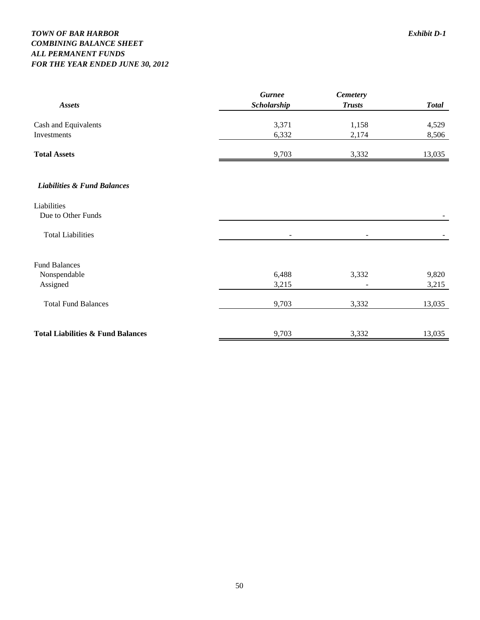## *TOWN OF BAR HARBOR Exhibit D-1 COMBINING BALANCE SHEET ALL PERMANENT FUNDS FOR THE YEAR ENDED JUNE 30, 2012*

| <b>Assets</b>                                | <b>Gurnee</b><br>Scholarship | <b>Cemetery</b><br><b>Trusts</b> | <b>Total</b>   |
|----------------------------------------------|------------------------------|----------------------------------|----------------|
| Cash and Equivalents                         | 3,371                        | 1,158                            | 4,529          |
| Investments                                  | 6,332                        | 2,174                            | 8,506          |
| <b>Total Assets</b>                          | 9,703                        | 3,332                            | 13,035         |
| <b>Liabilities &amp; Fund Balances</b>       |                              |                                  |                |
| Liabilities<br>Due to Other Funds            |                              |                                  |                |
| <b>Total Liabilities</b>                     |                              |                                  |                |
| <b>Fund Balances</b>                         |                              |                                  |                |
| Nonspendable<br>Assigned                     | 6,488<br>3,215               | 3,332                            | 9,820<br>3,215 |
| <b>Total Fund Balances</b>                   | 9,703                        | 3,332                            | 13,035         |
| <b>Total Liabilities &amp; Fund Balances</b> | 9,703                        | 3,332                            | 13,035         |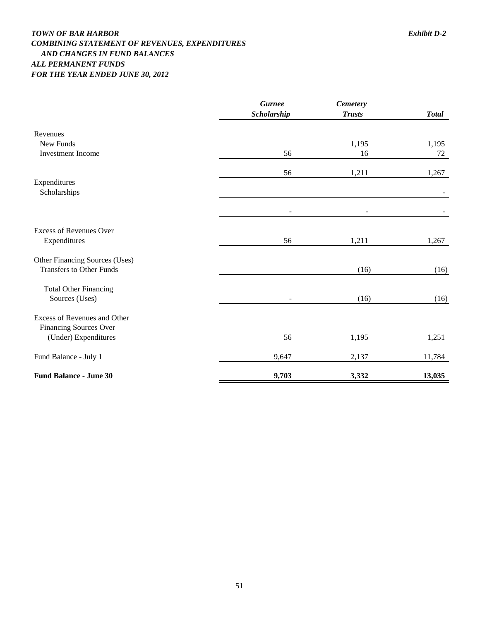## *TOWN OF BAR HARBOR Exhibit D-2 COMBINING STATEMENT OF REVENUES, EXPENDITURES AND CHANGES IN FUND BALANCES ALL PERMANENT FUNDS FOR THE YEAR ENDED JUNE 30, 2012*

|                                                       | <b>Gurnee</b><br>Scholarship | <b>Cemetery</b><br><b>Trusts</b> | <b>Total</b> |
|-------------------------------------------------------|------------------------------|----------------------------------|--------------|
| Revenues                                              |                              |                                  |              |
| New Funds                                             |                              | 1,195                            | 1,195        |
| Investment Income                                     | 56                           | 16                               | 72           |
|                                                       | 56                           | 1,211                            | 1,267        |
| Expenditures                                          |                              |                                  |              |
| Scholarships                                          |                              |                                  |              |
|                                                       | $\blacksquare$               |                                  |              |
| <b>Excess of Revenues Over</b>                        |                              |                                  |              |
| Expenditures                                          | 56                           | 1,211                            | 1,267        |
| Other Financing Sources (Uses)                        |                              |                                  |              |
| <b>Transfers to Other Funds</b>                       |                              | (16)                             | (16)         |
| <b>Total Other Financing</b>                          |                              |                                  |              |
| Sources (Uses)                                        |                              | (16)                             | (16)         |
| <b>Excess of Revenues and Other</b>                   |                              |                                  |              |
| <b>Financing Sources Over</b><br>(Under) Expenditures | 56                           | 1,195                            | 1,251        |
| Fund Balance - July 1                                 | 9,647                        | 2,137                            | 11,784       |
| <b>Fund Balance - June 30</b>                         | 9,703                        | 3,332                            | 13,035       |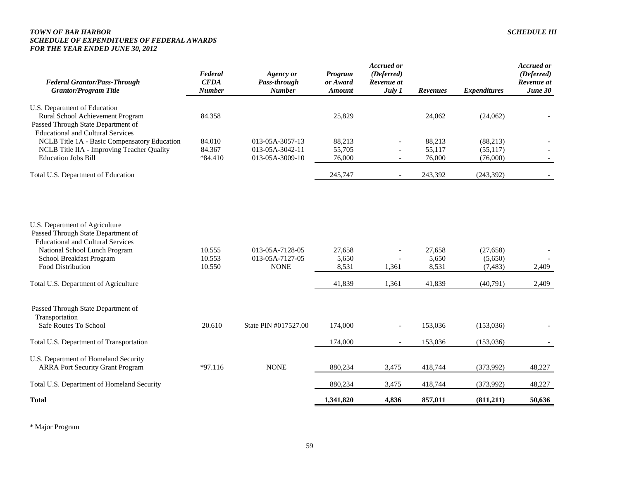#### *TOWN OF BAR HARBOR SCHEDULE III SCHEDULE OF EXPENDITURES OF FEDERAL AWARDS FOR THE YEAR ENDED JUNE 30, 2012*

| <b>Federal Grantor/Pass-Through</b><br><b>Grantor/Program Title</b>                                                                                                                                | Federal<br><b>CFDA</b><br><b>Number</b> | <b>Agency</b> or<br>Pass-through<br><b>Number</b>     | Program<br>or Award<br><b>Amount</b> | <b>Accrued or</b><br>(Deferred)<br>Revenue at<br>July 1 | <b>Revenues</b>            | <b>Expenditures</b>                | <b>Accrued or</b><br>(Deferred)<br>Revenue at<br>June 30 |
|----------------------------------------------------------------------------------------------------------------------------------------------------------------------------------------------------|-----------------------------------------|-------------------------------------------------------|--------------------------------------|---------------------------------------------------------|----------------------------|------------------------------------|----------------------------------------------------------|
| U.S. Department of Education<br>Rural School Achievement Program<br>Passed Through State Department of<br><b>Educational and Cultural Services</b>                                                 | 84.358                                  |                                                       | 25,829                               |                                                         | 24,062                     | (24,062)                           |                                                          |
| NCLB Title 1A - Basic Compensatory Education<br>NCLB Title IIA - Improving Teacher Quality<br><b>Education Jobs Bill</b>                                                                           | 84.010<br>84.367<br>$*84.410$           | 013-05A-3057-13<br>013-05A-3042-11<br>013-05A-3009-10 | 88,213<br>55,705<br>76,000           |                                                         | 88,213<br>55,117<br>76,000 | (88, 213)<br>(55, 117)<br>(76,000) |                                                          |
| Total U.S. Department of Education                                                                                                                                                                 |                                         |                                                       | 245,747                              |                                                         | 243,392                    | (243, 392)                         |                                                          |
| U.S. Department of Agriculture<br>Passed Through State Department of<br><b>Educational and Cultural Services</b><br>National School Lunch Program<br>School Breakfast Program<br>Food Distribution | 10.555<br>10.553<br>10.550              | 013-05A-7128-05<br>013-05A-7127-05<br><b>NONE</b>     | 27,658<br>5,650<br>8,531             | 1,361                                                   | 27,658<br>5,650<br>8,531   | (27, 658)<br>(5,650)<br>(7, 483)   | 2,409                                                    |
| Total U.S. Department of Agriculture                                                                                                                                                               |                                         |                                                       | 41,839                               | 1,361                                                   | 41,839                     | (40,791)                           | 2,409                                                    |
| Passed Through State Department of<br>Transportation<br>Safe Routes To School                                                                                                                      | 20.610                                  | State PIN #017527.00                                  | 174,000                              |                                                         | 153,036                    | (153,036)                          |                                                          |
| Total U.S. Department of Transportation                                                                                                                                                            |                                         |                                                       | 174,000                              |                                                         | 153,036                    | (153,036)                          |                                                          |
| U.S. Department of Homeland Security<br><b>ARRA Port Security Grant Program</b>                                                                                                                    | $*97.116$                               | <b>NONE</b>                                           | 880,234                              | 3,475                                                   | 418,744                    | (373,992)                          | 48,227                                                   |
| Total U.S. Department of Homeland Security                                                                                                                                                         |                                         |                                                       | 880,234                              | 3,475                                                   | 418,744                    | (373,992)                          | 48,227                                                   |
| <b>Total</b>                                                                                                                                                                                       |                                         |                                                       | 1,341,820                            | 4,836                                                   | 857,011                    | (811,211)                          | 50,636                                                   |

\* Major Program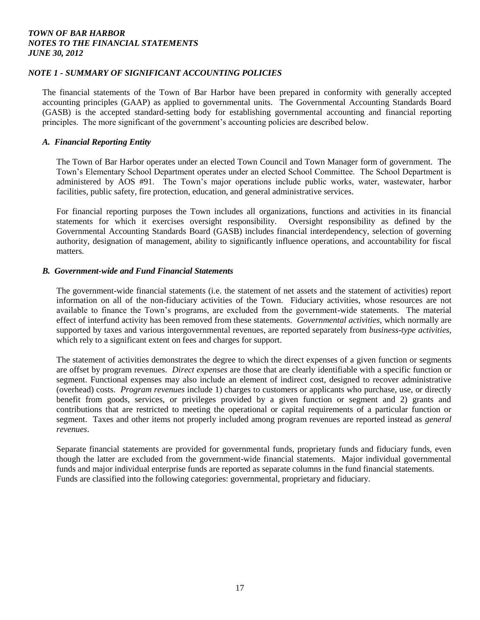#### *NOTE 1 - SUMMARY OF SIGNIFICANT ACCOUNTING POLICIES*

The financial statements of the Town of Bar Harbor have been prepared in conformity with generally accepted accounting principles (GAAP) as applied to governmental units. The Governmental Accounting Standards Board (GASB) is the accepted standard-setting body for establishing governmental accounting and financial reporting principles. The more significant of the government's accounting policies are described below.

#### *A. Financial Reporting Entity*

The Town of Bar Harbor operates under an elected Town Council and Town Manager form of government. The Town's Elementary School Department operates under an elected School Committee. The School Department is administered by AOS #91. The Town's major operations include public works, water, wastewater, harbor facilities, public safety, fire protection, education, and general administrative services.

For financial reporting purposes the Town includes all organizations, functions and activities in its financial statements for which it exercises oversight responsibility. Oversight responsibility as defined by the Governmental Accounting Standards Board (GASB) includes financial interdependency, selection of governing authority, designation of management, ability to significantly influence operations, and accountability for fiscal matters.

#### *B. Government-wide and Fund Financial Statements*

The government-wide financial statements (i.e. the statement of net assets and the statement of activities) report information on all of the non-fiduciary activities of the Town. Fiduciary activities, whose resources are not available to finance the Town's programs, are excluded from the government-wide statements. The material effect of interfund activity has been removed from these statements. *Governmental activities,* which normally are supported by taxes and various intergovernmental revenues, are reported separately from *business-type activities,*  which rely to a significant extent on fees and charges for support.

The statement of activities demonstrates the degree to which the direct expenses of a given function or segments are offset by program revenues. *Direct expenses* are those that are clearly identifiable with a specific function or segment. Functional expenses may also include an element of indirect cost, designed to recover administrative (overhead) costs. *Program revenues* include 1) charges to customers or applicants who purchase, use, or directly benefit from goods, services, or privileges provided by a given function or segment and 2) grants and contributions that are restricted to meeting the operational or capital requirements of a particular function or segment. Taxes and other items not properly included among program revenues are reported instead as *general revenues*.

Separate financial statements are provided for governmental funds, proprietary funds and fiduciary funds, even though the latter are excluded from the government-wide financial statements. Major individual governmental funds and major individual enterprise funds are reported as separate columns in the fund financial statements. Funds are classified into the following categories: governmental, proprietary and fiduciary.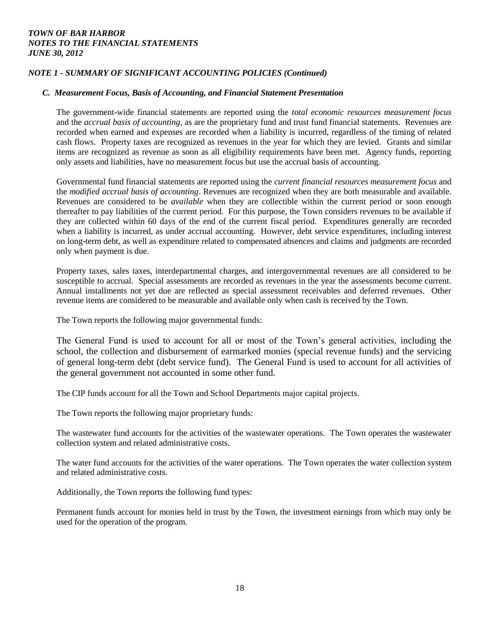## *NOTE 1 - SUMMARY OF SIGNIFICANT ACCOUNTING POLICIES (Continued)*

#### *C. Measurement Focus, Basis of Accounting, and Financial Statement Presentation*

The government-wide financial statements are reported using the *total economic resources measurement focus* and the *accrual basis of accounting*, as are the proprietary fund and trust fund financial statements. Revenues are recorded when earned and expenses are recorded when a liability is incurred, regardless of the timing of related cash flows. Property taxes are recognized as revenues in the year for which they are levied. Grants and similar items are recognized as revenue as soon as all eligibility requirements have been met. Agency funds, reporting only assets and liabilities, have no measurement focus but use the accrual basis of accounting.

Governmental fund financial statements are reported using the *current financial resources measurement focus* and the *modified accrual basis of accounting*. Revenues are recognized when they are both measurable and available. Revenues are considered to be *available* when they are collectible within the current period or soon enough thereafter to pay liabilities of the current period. For this purpose, the Town considers revenues to be available if they are collected within 60 days of the end of the current fiscal period. Expenditures generally are recorded when a liability is incurred, as under accrual accounting. However, debt service expenditures, including interest on long-term debt, as well as expenditure related to compensated absences and claims and judgments are recorded only when payment is due.

Property taxes, sales taxes, interdepartmental charges, and intergovernmental revenues are all considered to be susceptible to accrual. Special assessments are recorded as revenues in the year the assessments become current. Annual installments not yet due are reflected as special assessment receivables and deferred revenues. Other revenue items are considered to be measurable and available only when cash is received by the Town.

The Town reports the following major governmental funds:

The General Fund is used to account for all or most of the Town's general activities, including the school, the collection and disbursement of earmarked monies (special revenue funds) and the servicing of general long-term debt (debt service fund). The General Fund is used to account for all activities of the general government not accounted in some other fund.

The CIP funds account for all the Town and School Departments major capital projects.

The Town reports the following major proprietary funds:

The wastewater fund accounts for the activities of the wastewater operations. The Town operates the wastewater collection system and related administrative costs.

The water fund accounts for the activities of the water operations. The Town operates the water collection system and related administrative costs.

Additionally, the Town reports the following fund types:

Permanent funds account for monies held in trust by the Town, the investment earnings from which may only be used for the operation of the program.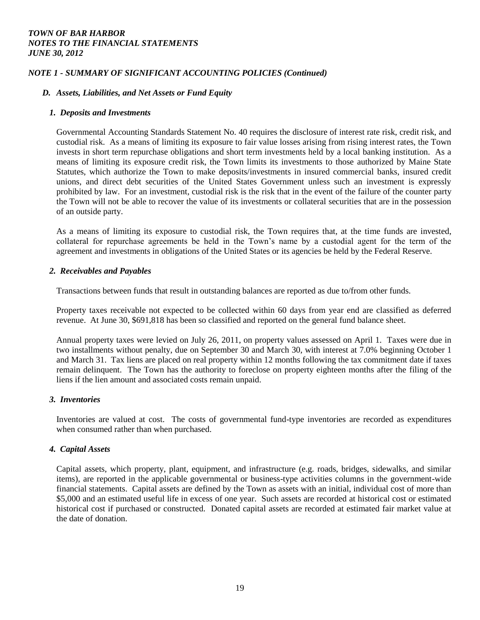## *NOTE 1 - SUMMARY OF SIGNIFICANT ACCOUNTING POLICIES (Continued)*

#### *D. Assets, Liabilities, and Net Assets or Fund Equity*

#### *1. Deposits and Investments*

Governmental Accounting Standards Statement No. 40 requires the disclosure of interest rate risk, credit risk, and custodial risk. As a means of limiting its exposure to fair value losses arising from rising interest rates, the Town invests in short term repurchase obligations and short term investments held by a local banking institution. As a means of limiting its exposure credit risk, the Town limits its investments to those authorized by Maine State Statutes, which authorize the Town to make deposits/investments in insured commercial banks, insured credit unions, and direct debt securities of the United States Government unless such an investment is expressly prohibited by law. For an investment, custodial risk is the risk that in the event of the failure of the counter party the Town will not be able to recover the value of its investments or collateral securities that are in the possession of an outside party.

As a means of limiting its exposure to custodial risk, the Town requires that, at the time funds are invested, collateral for repurchase agreements be held in the Town's name by a custodial agent for the term of the agreement and investments in obligations of the United States or its agencies be held by the Federal Reserve.

#### *2. Receivables and Payables*

Transactions between funds that result in outstanding balances are reported as due to/from other funds.

Property taxes receivable not expected to be collected within 60 days from year end are classified as deferred revenue. At June 30, \$691,818 has been so classified and reported on the general fund balance sheet.

Annual property taxes were levied on July 26, 2011, on property values assessed on April 1. Taxes were due in two installments without penalty, due on September 30 and March 30, with interest at 7.0% beginning October 1 and March 31. Tax liens are placed on real property within 12 months following the tax commitment date if taxes remain delinquent. The Town has the authority to foreclose on property eighteen months after the filing of the liens if the lien amount and associated costs remain unpaid.

## *3. Inventories*

Inventories are valued at cost. The costs of governmental fund-type inventories are recorded as expenditures when consumed rather than when purchased.

#### *4. Capital Assets*

Capital assets, which property, plant, equipment, and infrastructure (e.g. roads, bridges, sidewalks, and similar items), are reported in the applicable governmental or business-type activities columns in the government-wide financial statements. Capital assets are defined by the Town as assets with an initial, individual cost of more than \$5,000 and an estimated useful life in excess of one year. Such assets are recorded at historical cost or estimated historical cost if purchased or constructed. Donated capital assets are recorded at estimated fair market value at the date of donation.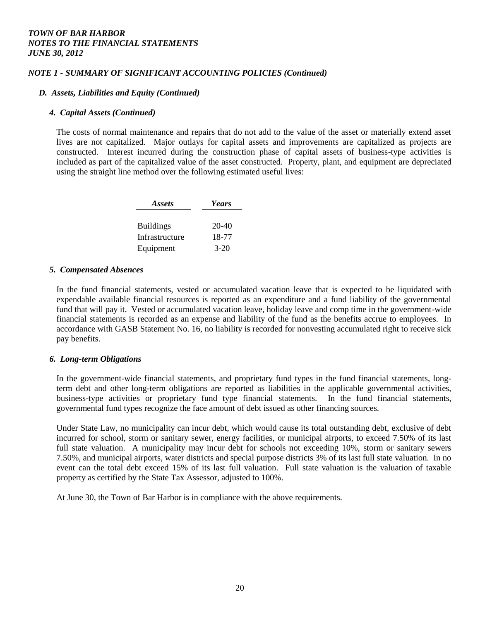## *NOTE 1 - SUMMARY OF SIGNIFICANT ACCOUNTING POLICIES (Continued)*

## *D. Assets, Liabilities and Equity (Continued)*

#### *4. Capital Assets (Continued)*

The costs of normal maintenance and repairs that do not add to the value of the asset or materially extend asset lives are not capitalized. Major outlays for capital assets and improvements are capitalized as projects are constructed. Interest incurred during the construction phase of capital assets of business-type activities is included as part of the capitalized value of the asset constructed. Property, plant, and equipment are depreciated using the straight line method over the following estimated useful lives:

| Assets         | Years   |
|----------------|---------|
|                |         |
| Buildings      | $20-40$ |
| Infrastructure | 18-77   |
| Equipment      | $3-20$  |

#### *5. Compensated Absences*

In the fund financial statements, vested or accumulated vacation leave that is expected to be liquidated with expendable available financial resources is reported as an expenditure and a fund liability of the governmental fund that will pay it. Vested or accumulated vacation leave, holiday leave and comp time in the government-wide financial statements is recorded as an expense and liability of the fund as the benefits accrue to employees. In accordance with GASB Statement No. 16, no liability is recorded for nonvesting accumulated right to receive sick pay benefits.

## *6. Long-term Obligations*

In the government-wide financial statements, and proprietary fund types in the fund financial statements, longterm debt and other long-term obligations are reported as liabilities in the applicable governmental activities, business-type activities or proprietary fund type financial statements. In the fund financial statements, governmental fund types recognize the face amount of debt issued as other financing sources.

Under State Law, no municipality can incur debt, which would cause its total outstanding debt, exclusive of debt incurred for school, storm or sanitary sewer, energy facilities, or municipal airports, to exceed 7.50% of its last full state valuation. A municipality may incur debt for schools not exceeding 10%, storm or sanitary sewers 7.50%, and municipal airports, water districts and special purpose districts 3% of its last full state valuation. In no event can the total debt exceed 15% of its last full valuation. Full state valuation is the valuation of taxable property as certified by the State Tax Assessor, adjusted to 100%.

At June 30, the Town of Bar Harbor is in compliance with the above requirements.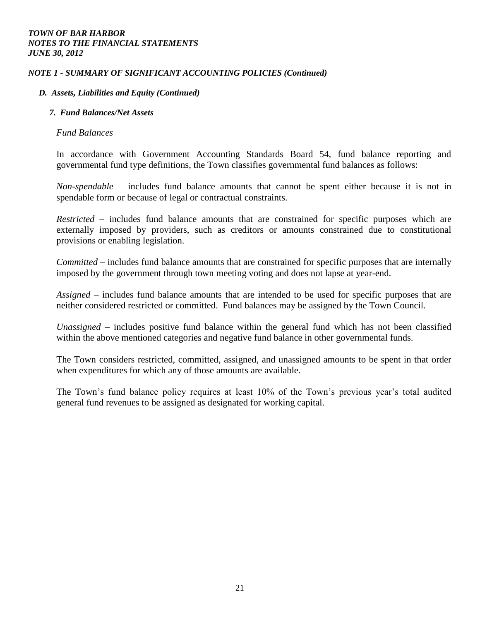## *NOTE 1 - SUMMARY OF SIGNIFICANT ACCOUNTING POLICIES (Continued)*

## *D. Assets, Liabilities and Equity (Continued)*

#### *7. Fund Balances/Net Assets*

#### *Fund Balances*

In accordance with Government Accounting Standards Board 54, fund balance reporting and governmental fund type definitions, the Town classifies governmental fund balances as follows:

*Non-spendable –* includes fund balance amounts that cannot be spent either because it is not in spendable form or because of legal or contractual constraints.

*Restricted –* includes fund balance amounts that are constrained for specific purposes which are externally imposed by providers, such as creditors or amounts constrained due to constitutional provisions or enabling legislation.

*Committed –* includes fund balance amounts that are constrained for specific purposes that are internally imposed by the government through town meeting voting and does not lapse at year-end.

*Assigned –* includes fund balance amounts that are intended to be used for specific purposes that are neither considered restricted or committed. Fund balances may be assigned by the Town Council.

*Unassigned –* includes positive fund balance within the general fund which has not been classified within the above mentioned categories and negative fund balance in other governmental funds.

The Town considers restricted, committed, assigned, and unassigned amounts to be spent in that order when expenditures for which any of those amounts are available.

The Town's fund balance policy requires at least 10% of the Town's previous year's total audited general fund revenues to be assigned as designated for working capital.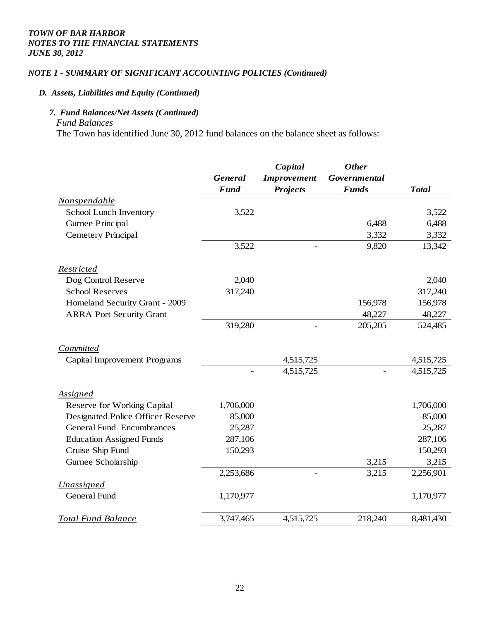## *NOTE 1 - SUMMARY OF SIGNIFICANT ACCOUNTING POLICIES (Continued)*

## *D. Assets, Liabilities and Equity (Continued)*

## *7. Fund Balances/Net Assets (Continued)*

## *Fund Balances*

The Town has identified June 30, 2012 fund balances on the balance sheet as follows:

|                                          |                | Capital            | <b>Other</b> |              |
|------------------------------------------|----------------|--------------------|--------------|--------------|
|                                          | <b>General</b> | <b>Improvement</b> | Governmental |              |
|                                          | <b>Fund</b>    | <b>Projects</b>    | <b>Funds</b> | <b>Total</b> |
| <u>Nonspendable</u>                      |                |                    |              |              |
| School Lunch Inventory                   | 3,522          |                    |              | 3,522        |
| Gurnee Principal                         |                |                    | 6,488        | 6,488        |
| <b>Cemetery Principal</b>                |                |                    | 3,332        | 3,332        |
|                                          | 3,522          |                    | 9,820        | 13,342       |
| Restricted                               |                |                    |              |              |
| Dog Control Reserve                      | 2,040          |                    |              | 2,040        |
| <b>School Reserves</b>                   | 317,240        |                    |              | 317,240      |
| Homeland Security Grant - 2009           |                |                    | 156,978      | 156,978      |
| <b>ARRA Port Security Grant</b>          |                |                    | 48,227       | 48,227       |
|                                          | 319,280        |                    | 205,205      | 524,485      |
| Committed                                |                |                    |              |              |
| <b>Capital Improvement Programs</b>      |                | 4,515,725          |              | 4,515,725    |
|                                          |                | 4,515,725          |              | 4,515,725    |
| <b>Assigned</b>                          |                |                    |              |              |
| <b>Reserve for Working Capital</b>       | 1,706,000      |                    |              | 1,706,000    |
| <b>Designated Police Officer Reserve</b> | 85,000         |                    |              | 85,000       |
| <b>General Fund Encumbrances</b>         | 25,287         |                    |              | 25,287       |
| <b>Education Assigned Funds</b>          | 287,106        |                    |              | 287,106      |
| Cruise Ship Fund                         | 150,293        |                    |              | 150,293      |
| Gurnee Scholarship                       |                |                    | 3,215        | 3,215        |
|                                          | 2,253,686      | $\overline{a}$     | 3,215        | 2,256,901    |
| <b>Unassigned</b>                        |                |                    |              |              |
| General Fund                             | 1,170,977      |                    |              | 1,170,977    |
| <b>Total Fund Balance</b>                | 3,747,465      | 4,515,725          | 218,240      | 8,481,430    |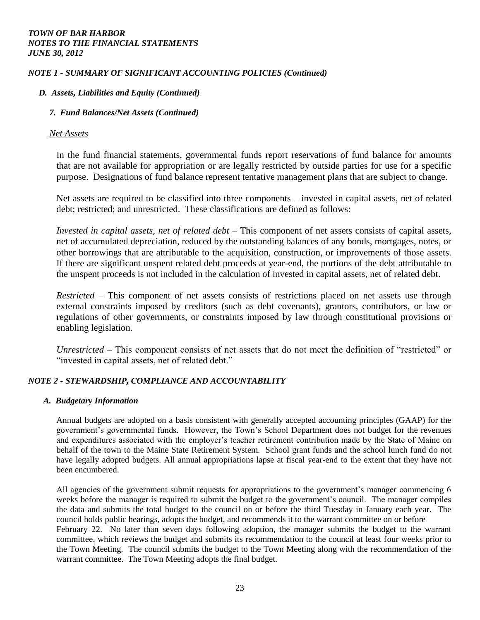## *NOTE 1 - SUMMARY OF SIGNIFICANT ACCOUNTING POLICIES (Continued)*

## *D. Assets, Liabilities and Equity (Continued)*

## *7. Fund Balances/Net Assets (Continued)*

#### *Net Assets*

In the fund financial statements, governmental funds report reservations of fund balance for amounts that are not available for appropriation or are legally restricted by outside parties for use for a specific purpose. Designations of fund balance represent tentative management plans that are subject to change.

Net assets are required to be classified into three components – invested in capital assets, net of related debt; restricted; and unrestricted. These classifications are defined as follows:

*Invested in capital assets, net of related debt –* This component of net assets consists of capital assets, net of accumulated depreciation, reduced by the outstanding balances of any bonds, mortgages, notes, or other borrowings that are attributable to the acquisition, construction, or improvements of those assets. If there are significant unspent related debt proceeds at year-end, the portions of the debt attributable to the unspent proceeds is not included in the calculation of invested in capital assets, net of related debt.

*Restricted –* This component of net assets consists of restrictions placed on net assets use through external constraints imposed by creditors (such as debt covenants), grantors, contributors, or law or regulations of other governments, or constraints imposed by law through constitutional provisions or enabling legislation.

*Unrestricted –* This component consists of net assets that do not meet the definition of "restricted" or "invested in capital assets, net of related debt."

## *NOTE 2 - STEWARDSHIP, COMPLIANCE AND ACCOUNTABILITY*

## *A. Budgetary Information*

Annual budgets are adopted on a basis consistent with generally accepted accounting principles (GAAP) for the government's governmental funds. However, the Town's School Department does not budget for the revenues and expenditures associated with the employer's teacher retirement contribution made by the State of Maine on behalf of the town to the Maine State Retirement System. School grant funds and the school lunch fund do not have legally adopted budgets. All annual appropriations lapse at fiscal year-end to the extent that they have not been encumbered.

All agencies of the government submit requests for appropriations to the government's manager commencing 6 weeks before the manager is required to submit the budget to the government's council. The manager compiles the data and submits the total budget to the council on or before the third Tuesday in January each year. The council holds public hearings, adopts the budget, and recommends it to the warrant committee on or before February 22. No later than seven days following adoption, the manager submits the budget to the warrant committee, which reviews the budget and submits its recommendation to the council at least four weeks prior to the Town Meeting. The council submits the budget to the Town Meeting along with the recommendation of the warrant committee. The Town Meeting adopts the final budget.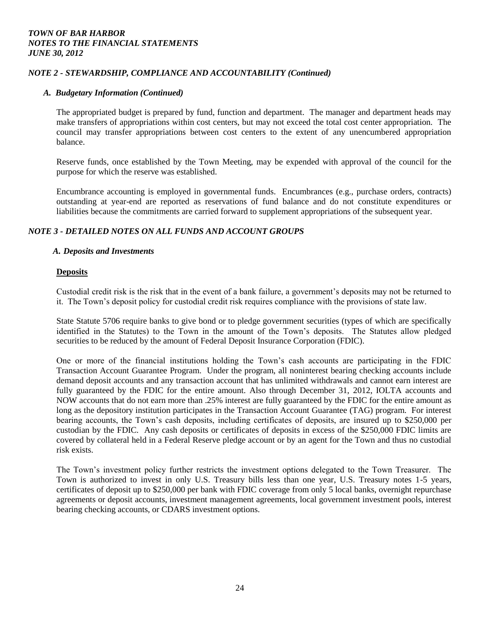## *NOTE 2 - STEWARDSHIP, COMPLIANCE AND ACCOUNTABILITY (Continued)*

## *A. Budgetary Information (Continued)*

The appropriated budget is prepared by fund, function and department. The manager and department heads may make transfers of appropriations within cost centers, but may not exceed the total cost center appropriation. The council may transfer appropriations between cost centers to the extent of any unencumbered appropriation balance.

Reserve funds, once established by the Town Meeting, may be expended with approval of the council for the purpose for which the reserve was established.

Encumbrance accounting is employed in governmental funds. Encumbrances (e.g., purchase orders, contracts) outstanding at year-end are reported as reservations of fund balance and do not constitute expenditures or liabilities because the commitments are carried forward to supplement appropriations of the subsequent year.

## *NOTE 3 - DETAILED NOTES ON ALL FUNDS AND ACCOUNT GROUPS*

#### *A. Deposits and Investments*

## **Deposits**

Custodial credit risk is the risk that in the event of a bank failure, a government's deposits may not be returned to it. The Town's deposit policy for custodial credit risk requires compliance with the provisions of state law.

State Statute 5706 require banks to give bond or to pledge government securities (types of which are specifically identified in the Statutes) to the Town in the amount of the Town's deposits. The Statutes allow pledged securities to be reduced by the amount of Federal Deposit Insurance Corporation (FDIC).

One or more of the financial institutions holding the Town's cash accounts are participating in the FDIC Transaction Account Guarantee Program. Under the program, all noninterest bearing checking accounts include demand deposit accounts and any transaction account that has unlimited withdrawals and cannot earn interest are fully guaranteed by the FDIC for the entire amount. Also through December 31, 2012, IOLTA accounts and NOW accounts that do not earn more than .25% interest are fully guaranteed by the FDIC for the entire amount as long as the depository institution participates in the Transaction Account Guarantee (TAG) program. For interest bearing accounts, the Town's cash deposits, including certificates of deposits, are insured up to \$250,000 per custodian by the FDIC. Any cash deposits or certificates of deposits in excess of the \$250,000 FDIC limits are covered by collateral held in a Federal Reserve pledge account or by an agent for the Town and thus no custodial risk exists.

The Town's investment policy further restricts the investment options delegated to the Town Treasurer. The Town is authorized to invest in only U.S. Treasury bills less than one year, U.S. Treasury notes 1-5 years, certificates of deposit up to \$250,000 per bank with FDIC coverage from only 5 local banks, overnight repurchase agreements or deposit accounts, investment management agreements, local government investment pools, interest bearing checking accounts, or CDARS investment options.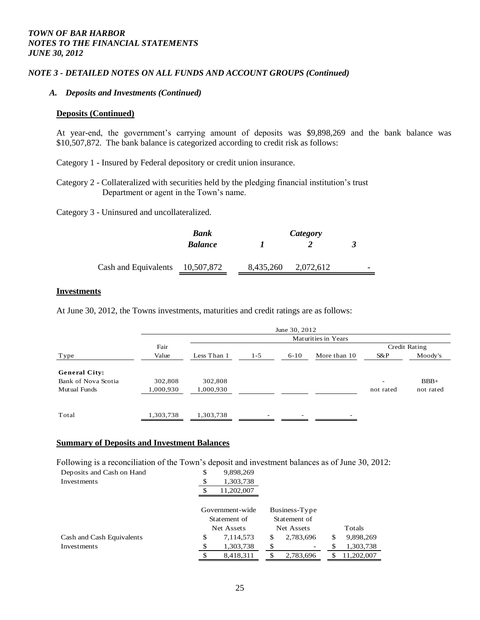#### *NOTE 3 - DETAILED NOTES ON ALL FUNDS AND ACCOUNT GROUPS (Continued)*

#### *A. Deposits and Investments (Continued)*

#### **Deposits (Continued)**

At year-end, the government's carrying amount of deposits was \$9,898,269 and the bank balance was \$10,507,872. The bank balance is categorized according to credit risk as follows:

Category 1 - Insured by Federal depository or credit union insurance.

Category 2 - Collateralized with securities held by the pledging financial institution's trust Department or agent in the Town's name.

Category 3 - Uninsured and uncollateralized.

|                      | Bank           | Category  |           |   |
|----------------------|----------------|-----------|-----------|---|
|                      | <b>Balance</b> |           |           | ≺ |
| Cash and Equivalents | 10,507,872     | 8,435,260 | 2,072,612 |   |

#### **Investments**

At June 30, 2012, the Towns investments, maturities and credit ratings are as follows:

|                      |           |             |         | June 30, 2012 |                     |           |               |
|----------------------|-----------|-------------|---------|---------------|---------------------|-----------|---------------|
|                      |           |             |         |               | Maturities in Years |           |               |
|                      | Fair      |             |         |               |                     |           | Credit Rating |
| Type                 | Value     | Less Than 1 | $1 - 5$ | $6 - 10$      | More than 10        | S&P       | Moody's       |
| <b>General City:</b> |           |             |         |               |                     |           |               |
| Bank of Nova Scotia  | 302,808   | 302,808     |         |               |                     | -         | $BBB+$        |
| Mutual Funds         | 1,000,930 | 1,000,930   |         |               |                     | not rated | not rated     |
|                      |           |             |         |               |                     |           |               |
| Total                | 1,303,738 | 1,303,738   | -       |               |                     |           |               |

#### **Summary of Deposits and Investment Balances**

Following is a reconciliation of the Town's deposit and investment balances as of June 30, 2012:

| Deposits and Cash on Hand | \$  | 9,898,269       |                 |    |            |
|---------------------------|-----|-----------------|-----------------|----|------------|
| Investments               | \$  | 1,303,738       |                 |    |            |
|                           | \$. | 11,202,007      |                 |    |            |
|                           |     | Government-wide | Business-Type   |    |            |
|                           |     | Statement of    | Statement of    |    |            |
|                           |     | Net Assets      | Net Assets      |    | Totals     |
| Cash and Cash Equivalents | \$  | 7,114,573       | \$<br>2,783,696 | S  | 9,898,269  |
| Investments               | \$  | 1,303,738       | \$              | S  | 1,303,738  |
|                           | \$  | 8,418,311       | \$<br>2,783,696 | \$ | 11,202,007 |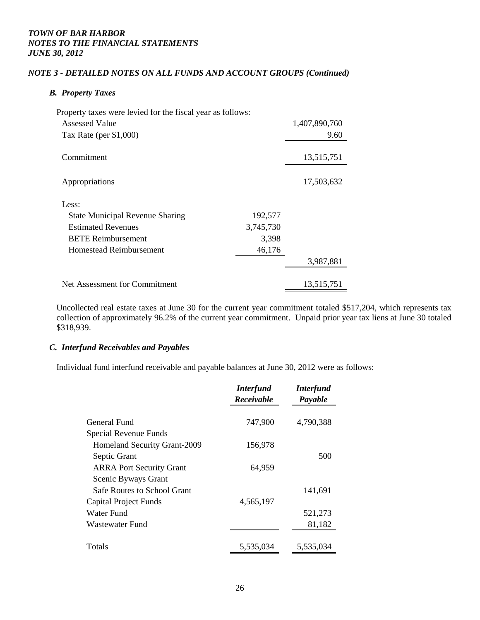## *NOTE 3 - DETAILED NOTES ON ALL FUNDS AND ACCOUNT GROUPS (Continued)*

## *B. Property Taxes*

| Property taxes were levied for the fiscal year as follows: |           |               |
|------------------------------------------------------------|-----------|---------------|
| Assessed Value                                             |           | 1,407,890,760 |
| Tax Rate (per $$1,000$ )                                   |           | 9.60          |
| Commitment                                                 |           | 13,515,751    |
| Appropriations                                             |           | 17,503,632    |
| Less:                                                      |           |               |
| <b>State Municipal Revenue Sharing</b>                     | 192,577   |               |
| <b>Estimated Revenues</b>                                  | 3,745,730 |               |
| <b>BETE Reimbursement</b>                                  | 3,398     |               |
| Homestead Reimbursement                                    | 46,176    |               |
|                                                            |           | 3,987,881     |
| Net Assessment for Commitment                              |           | 13,515,751    |

Uncollected real estate taxes at June 30 for the current year commitment totaled \$517,204, which represents tax collection of approximately 96.2% of the current year commitment. Unpaid prior year tax liens at June 30 totaled \$318,939.

#### *C. Interfund Receivables and Payables*

Individual fund interfund receivable and payable balances at June 30, 2012 were as follows:

|                                    | <b>Interfund</b><br>Receivable | <b>Interfund</b><br>Payable |
|------------------------------------|--------------------------------|-----------------------------|
| General Fund                       | 747,900                        | 4,790,388                   |
| Special Revenue Funds              |                                |                             |
| Homeland Security Grant-2009       | 156,978                        |                             |
| Septic Grant                       |                                | 500                         |
| <b>ARRA Port Security Grant</b>    | 64,959                         |                             |
| Scenic Byways Grant                |                                |                             |
| <b>Safe Routes to School Grant</b> |                                | 141,691                     |
| Capital Project Funds              | 4,565,197                      |                             |
| Water Fund                         |                                | 521,273                     |
| Wastewater Fund                    |                                | 81,182                      |
| Totals                             | 5,535,034                      | 5,535,034                   |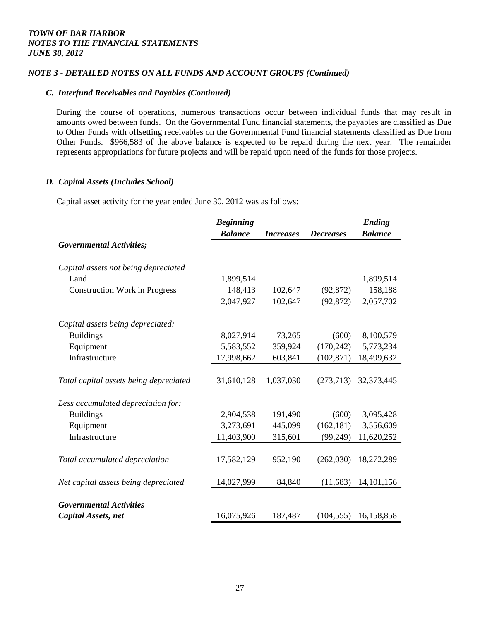## *NOTE 3 - DETAILED NOTES ON ALL FUNDS AND ACCOUNT GROUPS (Continued)*

## *C. Interfund Receivables and Payables (Continued)*

During the course of operations, numerous transactions occur between individual funds that may result in amounts owed between funds. On the Governmental Fund financial statements, the payables are classified as Due to Other Funds with offsetting receivables on the Governmental Fund financial statements classified as Due from Other Funds. \$966,583 of the above balance is expected to be repaid during the next year. The remainder represents appropriations for future projects and will be repaid upon need of the funds for those projects.

#### *D. Capital Assets (Includes School)*

Capital asset activity for the year ended June 30, 2012 was as follows:

|                                        | <b>Beginning</b> |                  |                  | <b>Ending</b>  |
|----------------------------------------|------------------|------------------|------------------|----------------|
|                                        | <b>Balance</b>   | <i>Increases</i> | <b>Decreases</b> | <b>Balance</b> |
| <b>Governmental Activities;</b>        |                  |                  |                  |                |
| Capital assets not being depreciated   |                  |                  |                  |                |
| Land                                   | 1,899,514        |                  |                  | 1,899,514      |
| <b>Construction Work in Progress</b>   | 148,413          | 102,647          | (92, 872)        | 158,188        |
|                                        | 2,047,927        | 102,647          | (92, 872)        | 2,057,702      |
| Capital assets being depreciated:      |                  |                  |                  |                |
| <b>Buildings</b>                       | 8,027,914        | 73,265           | (600)            | 8,100,579      |
| Equipment                              | 5,583,552        | 359,924          | (170, 242)       | 5,773,234      |
| Infrastructure                         | 17,998,662       | 603,841          | (102, 871)       | 18,499,632     |
| Total capital assets being depreciated | 31,610,128       | 1,037,030        | (273,713)        | 32,373,445     |
| Less accumulated depreciation for:     |                  |                  |                  |                |
| <b>Buildings</b>                       | 2,904,538        | 191,490          | (600)            | 3,095,428      |
| Equipment                              | 3,273,691        | 445,099          | (162, 181)       | 3,556,609      |
| Infrastructure                         | 11,403,900       | 315,601          | (99, 249)        | 11,620,252     |
| Total accumulated depreciation         | 17,582,129       | 952,190          | (262,030)        | 18,272,289     |
| Net capital assets being depreciated   | 14,027,999       | 84,840           | (11,683)         | 14, 101, 156   |
| <b>Governmental Activities</b>         |                  |                  |                  |                |
| Capital Assets, net                    | 16,075,926       | 187,487          | (104, 555)       | 16,158,858     |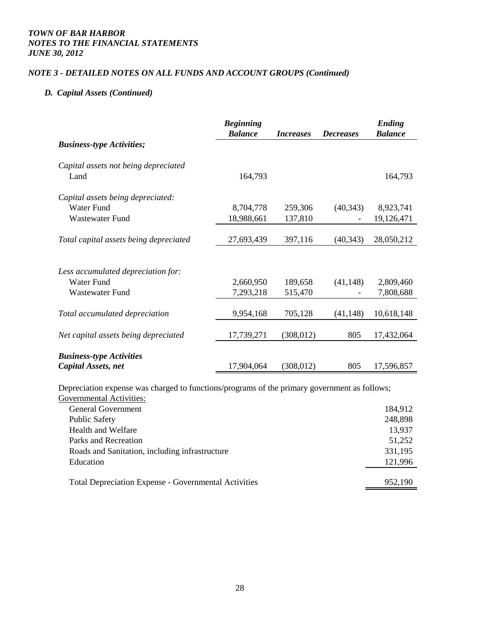## *NOTE 3 - DETAILED NOTES ON ALL FUNDS AND ACCOUNT GROUPS (Continued)*

## *D. Capital Assets (Continued)*

|                                        | <b>Beginning</b><br><b>Balance</b> | <i>Increases</i> | <b>Decreases</b> | <b>Ending</b><br><b>Balance</b> |
|----------------------------------------|------------------------------------|------------------|------------------|---------------------------------|
| <b>Business-type Activities;</b>       |                                    |                  |                  |                                 |
| Capital assets not being depreciated   |                                    |                  |                  |                                 |
| Land                                   | 164,793                            |                  |                  | 164,793                         |
| Capital assets being depreciated:      |                                    |                  |                  |                                 |
| <b>Water Fund</b>                      | 8,704,778                          | 259,306          | (40, 343)        | 8,923,741                       |
| <b>Wastewater Fund</b>                 | 18,988,661                         | 137,810          |                  | 19,126,471                      |
|                                        |                                    |                  |                  |                                 |
| Total capital assets being depreciated | 27,693,439                         | 397,116          | (40, 343)        | 28,050,212                      |
|                                        |                                    |                  |                  |                                 |
| Less accumulated depreciation for:     |                                    |                  |                  |                                 |
| <b>Water Fund</b>                      | 2,660,950                          | 189,658          | (41, 148)        | 2,809,460                       |
| Wastewater Fund                        | 7,293,218                          | 515,470          |                  | 7,808,688                       |
|                                        |                                    |                  |                  |                                 |
| Total accumulated depreciation         | 9,954,168                          | 705,128          | (41, 148)        | 10,618,148                      |
| Net capital assets being depreciated   | 17,739,271                         | (308, 012)       | 805              | 17,432,064                      |
|                                        |                                    |                  |                  |                                 |
| <b>Business-type Activities</b>        |                                    |                  |                  |                                 |
| Capital Assets, net                    | 17,904,064                         | (308, 012)       | 805              | 17,596,857                      |

Depreciation expense was charged to functions/programs of the primary government as follows;  $\overline{A}$  activities:

| Governmental Activities:                                    |         |
|-------------------------------------------------------------|---------|
| <b>General Government</b>                                   | 184,912 |
| <b>Public Safety</b>                                        | 248,898 |
| Health and Welfare                                          | 13,937  |
| Parks and Recreation                                        | 51,252  |
| Roads and Sanitation, including infrastructure              | 331,195 |
| Education                                                   | 121,996 |
|                                                             |         |
| <b>Total Depreciation Expense - Governmental Activities</b> | 952,190 |
|                                                             |         |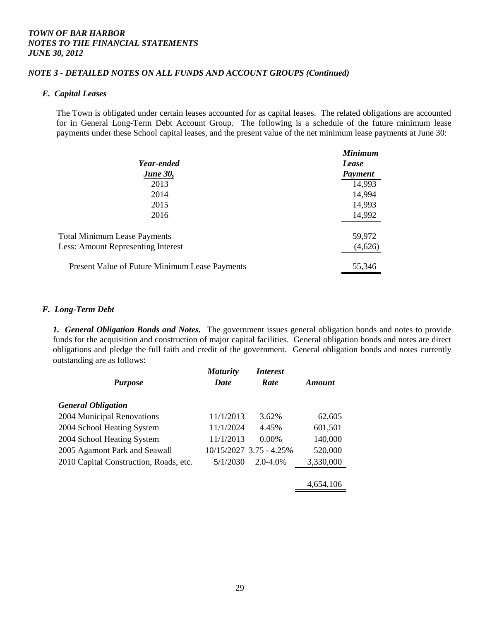## *NOTE 3 - DETAILED NOTES ON ALL FUNDS AND ACCOUNT GROUPS (Continued)*

#### *E. Capital Leases*

The Town is obligated under certain leases accounted for as capital leases. The related obligations are accounted for in General Long-Term Debt Account Group. The following is a schedule of the future minimum lease payments under these School capital leases, and the present value of the net minimum lease payments at June 30:

| Year-ended                                     | <b>Minimum</b><br>Lease |
|------------------------------------------------|-------------------------|
| <b>June 30,</b>                                | <b>Payment</b>          |
| 2013                                           | 14,993                  |
| 2014                                           | 14,994                  |
| 2015                                           | 14,993                  |
| 2016                                           | 14,992                  |
| <b>Total Minimum Lease Payments</b>            | 59,972                  |
| <b>Less: Amount Representing Interest</b>      | (4,626)                 |
| Present Value of Future Minimum Lease Payments | 55,346                  |

#### *F. Long-Term Debt*

*1. General Obligation Bonds and Notes.* The government issues general obligation bonds and notes to provide funds for the acquisition and construction of major capital facilities. General obligation bonds and notes are direct obligations and pledge the full faith and credit of the government. General obligation bonds and notes currently outstanding are as follows:

| <b>Purpose</b>                         | <b>Maturity</b><br><b>Date</b> | <i>Interest</i><br>Rate | Amount    |
|----------------------------------------|--------------------------------|-------------------------|-----------|
| <b>General Obligation</b>              |                                |                         |           |
| 2004 Municipal Renovations             | 11/1/2013                      | 3.62%                   | 62,605    |
| 2004 School Heating System             | 11/1/2024                      | 4.45%                   | 601,501   |
| 2004 School Heating System             | 11/1/2013                      | $0.00\%$                | 140,000   |
| 2005 Agamont Park and Seawall          |                                | 10/15/2027 3.75 - 4.25% | 520,000   |
| 2010 Capital Construction, Roads, etc. | 5/1/2030                       | $2.0 - 4.0\%$           | 3,330,000 |
|                                        |                                |                         |           |
|                                        |                                |                         | 4.654.106 |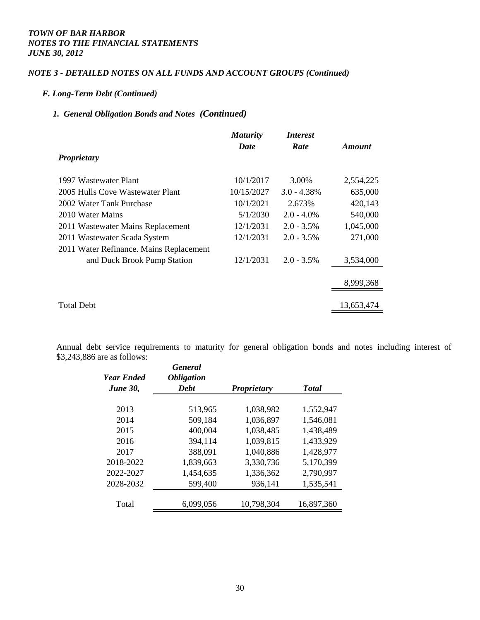## *NOTE 3 - DETAILED NOTES ON ALL FUNDS AND ACCOUNT GROUPS (Continued)*

#### *F. Long-Term Debt (Continued)*

## *1. General Obligation Bonds and Notes (Continued)*

|                                         | <b>Maturity</b><br>Date | <i>Interest</i><br>Rate | <b>Amount</b> |
|-----------------------------------------|-------------------------|-------------------------|---------------|
| <b>Proprietary</b>                      |                         |                         |               |
| 1997 Wastewater Plant                   | 10/1/2017               | 3.00%                   | 2,554,225     |
| 2005 Hulls Cove Wastewater Plant        | 10/15/2027              | $3.0 - 4.38\%$          | 635,000       |
| 2002 Water Tank Purchase                | 10/1/2021               | 2.673%                  | 420,143       |
| 2010 Water Mains                        | 5/1/2030                | $2.0 - 4.0\%$           | 540,000       |
| 2011 Wastewater Mains Replacement       | 12/1/2031               | $2.0 - 3.5\%$           | 1,045,000     |
| 2011 Wastewater Scada System            | 12/1/2031               | $2.0 - 3.5\%$           | 271,000       |
| 2011 Water Refinance. Mains Replacement |                         |                         |               |
| and Duck Brook Pump Station             | 12/1/2031               | $2.0 - 3.5\%$           | 3,534,000     |
|                                         |                         |                         | 8,999,368     |
| Total Debt                              |                         |                         | 13,653,474    |

Annual debt service requirements to maturity for general obligation bonds and notes including interest of \$3,243,886 are as follows:

| Year Ended<br><b>June 30,</b> | <b>General</b><br><i><b>Obligation</b></i><br><b>Debt</b> | <b>Proprietary</b> | <b>T</b> otal |
|-------------------------------|-----------------------------------------------------------|--------------------|---------------|
| 2013                          | 513,965                                                   | 1,038,982          | 1,552,947     |
| 2014                          | 509,184                                                   | 1,036,897          | 1,546,081     |
| 2015                          | 400,004                                                   | 1,038,485          | 1,438,489     |
| 2016                          | 394,114                                                   | 1,039,815          | 1,433,929     |
| 2017                          | 388,091                                                   | 1,040,886          | 1,428,977     |
| 2018-2022                     | 1,839,663                                                 | 3,330,736          | 5,170,399     |
| 2022-2027                     | 1,454,635                                                 | 1,336,362          | 2,790,997     |
| 2028-2032                     | 599,400                                                   | 936,141            | 1,535,541     |
|                               |                                                           |                    |               |
| Total                         | 6,099,056                                                 | 10,798,304         | 16,897,360    |
|                               |                                                           |                    |               |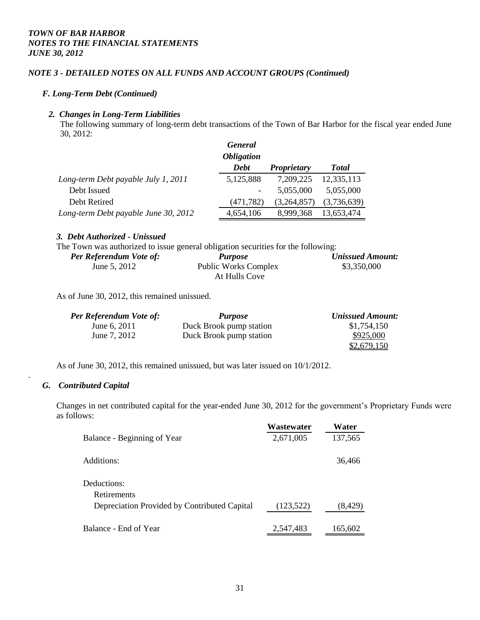## *NOTE 3 - DETAILED NOTES ON ALL FUNDS AND ACCOUNT GROUPS (Continued)*

#### *F. Long-Term Debt (Continued)*

#### *2. Changes in Long-Term Liabilities*

The following summary of long-term debt transactions of the Town of Bar Harbor for the fiscal year ended June 30, 2012:

|                                      | <b>General</b><br><i><b>Obligation</b></i> |                    |              |
|--------------------------------------|--------------------------------------------|--------------------|--------------|
|                                      | <b>Debt</b>                                | <b>Proprietary</b> | <b>Total</b> |
| Long-term Debt payable July 1, 2011  | 5,125,888                                  | 7,209,225          | 12,335,113   |
| Debt Issued                          |                                            | 5,055,000          | 5,055,000    |
| Debt Retired                         | (471, 782)                                 | (3,264,857)        | (3,736,639)  |
| Long-term Debt payable June 30, 2012 | 4,654,106                                  | 8,999,368          | 13,653,474   |

#### *3. Debt Authorized - Unissued*

The Town was authorized to issue general obligation securities for the following:

| Per Referendum Vote of: | Purpose                     | <b>Unissued Amount:</b> |
|-------------------------|-----------------------------|-------------------------|
| June 5, 2012            | <b>Public Works Complex</b> | \$3,350,000             |
|                         | At Hulls Cove               |                         |

As of June 30, 2012, this remained unissued.

| Per Referendum Vote of: | <b>Purpose</b>          | <b>Unissued Amount:</b> |
|-------------------------|-------------------------|-------------------------|
| June 6, 2011            | Duck Brook pump station | \$1,754,150             |
| June 7, 2012            | Duck Brook pump station | \$925,000               |
|                         |                         | \$2,679,150             |

As of June 30, 2012, this remained unissued, but was later issued on 10/1/2012.

#### *G. Contributed Capital*

.

Changes in net contributed capital for the year-ended June 30, 2012 for the government's Proprietary Funds were as follows:

|                                              | Wastewater | Water   |
|----------------------------------------------|------------|---------|
| Balance - Beginning of Year                  | 2,671,005  | 137,565 |
| Additions:                                   |            | 36,466  |
| Deductions:<br>Retirements                   |            |         |
| Depreciation Provided by Contributed Capital | (123, 522) | (8,429) |
| Balance - End of Year                        | 2,547,483  | 165,602 |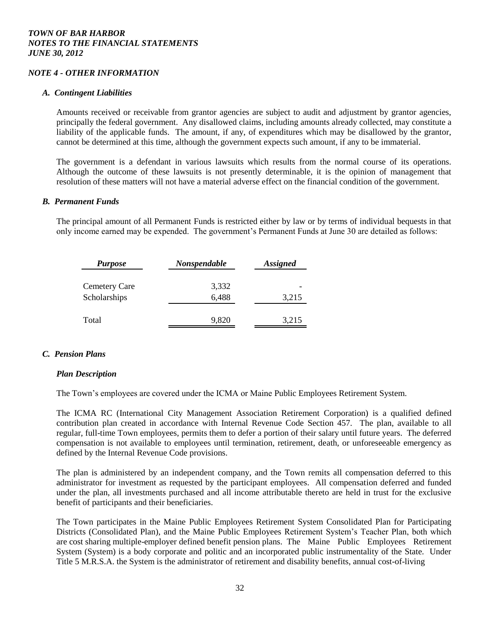#### *NOTE 4 - OTHER INFORMATION*

#### *A. Contingent Liabilities*

Amounts received or receivable from grantor agencies are subject to audit and adjustment by grantor agencies, principally the federal government. Any disallowed claims, including amounts already collected, may constitute a liability of the applicable funds. The amount, if any, of expenditures which may be disallowed by the grantor, cannot be determined at this time, although the government expects such amount, if any to be immaterial.

The government is a defendant in various lawsuits which results from the normal course of its operations. Although the outcome of these lawsuits is not presently determinable, it is the opinion of management that resolution of these matters will not have a material adverse effect on the financial condition of the government.

#### *B. Permanent Funds*

The principal amount of all Permanent Funds is restricted either by law or by terms of individual bequests in that only income earned may be expended. The government's Permanent Funds at June 30 are detailed as follows:

| <b>Purpose</b> | Nonspendable | <b>Assigned</b> |
|----------------|--------------|-----------------|
| Cemetery Care  | 3,332        |                 |
| Scholarships   | 6,488        | 3,215           |
| Total          | 9,820        | 3,215           |

## *C. Pension Plans*

## *Plan Description*

The Town's employees are covered under the ICMA or Maine Public Employees Retirement System.

The ICMA RC (International City Management Association Retirement Corporation) is a qualified defined contribution plan created in accordance with Internal Revenue Code Section 457. The plan, available to all regular, full-time Town employees, permits them to defer a portion of their salary until future years. The deferred compensation is not available to employees until termination, retirement, death, or unforeseeable emergency as defined by the Internal Revenue Code provisions.

The plan is administered by an independent company, and the Town remits all compensation deferred to this administrator for investment as requested by the participant employees. All compensation deferred and funded under the plan, all investments purchased and all income attributable thereto are held in trust for the exclusive benefit of participants and their beneficiaries.

The Town participates in the Maine Public Employees Retirement System Consolidated Plan for Participating Districts (Consolidated Plan), and the Maine Public Employees Retirement System's Teacher Plan, both which are cost sharing multiple-employer defined benefit pension plans. The Maine Public Employees Retirement System (System) is a body corporate and politic and an incorporated public instrumentality of the State. Under Title 5 M.R.S.A. the System is the administrator of retirement and disability benefits, annual cost-of-living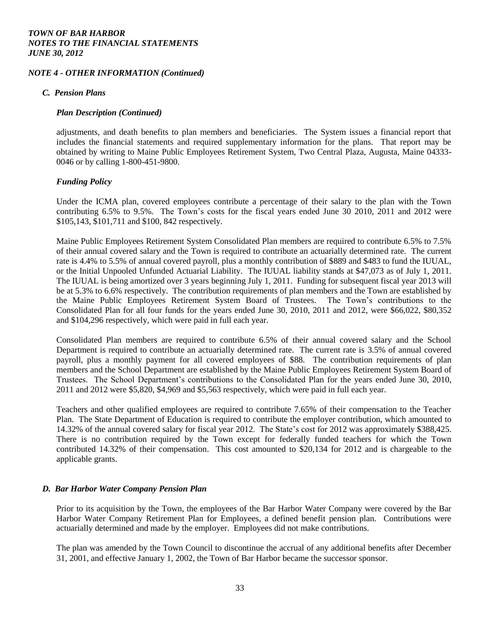#### *NOTE 4 - OTHER INFORMATION (Continued)*

#### *C. Pension Plans*

#### *Plan Description (Continued)*

adjustments, and death benefits to plan members and beneficiaries. The System issues a financial report that includes the financial statements and required supplementary information for the plans. That report may be obtained by writing to Maine Public Employees Retirement System, Two Central Plaza, Augusta, Maine 04333- 0046 or by calling 1-800-451-9800.

#### *Funding Policy*

Under the ICMA plan, covered employees contribute a percentage of their salary to the plan with the Town contributing 6.5% to 9.5%. The Town's costs for the fiscal years ended June 30 2010, 2011 and 2012 were \$105,143, \$101,711 and \$100, 842 respectively.

Maine Public Employees Retirement System Consolidated Plan members are required to contribute 6.5% to 7.5% of their annual covered salary and the Town is required to contribute an actuarially determined rate. The current rate is 4.4% to 5.5% of annual covered payroll, plus a monthly contribution of \$889 and \$483 to fund the IUUAL, or the Initial Unpooled Unfunded Actuarial Liability. The IUUAL liability stands at \$47,073 as of July 1, 2011. The IUUAL is being amortized over 3 years beginning July 1, 2011. Funding for subsequent fiscal year 2013 will be at 5.3% to 6.6% respectively. The contribution requirements of plan members and the Town are established by the Maine Public Employees Retirement System Board of Trustees. The Town's contributions to the Consolidated Plan for all four funds for the years ended June 30, 2010, 2011 and 2012, were \$66,022, \$80,352 and \$104,296 respectively, which were paid in full each year.

Consolidated Plan members are required to contribute 6.5% of their annual covered salary and the School Department is required to contribute an actuarially determined rate. The current rate is 3.5% of annual covered payroll, plus a monthly payment for all covered employees of \$88. The contribution requirements of plan members and the School Department are established by the Maine Public Employees Retirement System Board of Trustees. The School Department's contributions to the Consolidated Plan for the years ended June 30, 2010, 2011 and 2012 were \$5,820, \$4,969 and \$5,563 respectively, which were paid in full each year.

Teachers and other qualified employees are required to contribute 7.65% of their compensation to the Teacher Plan. The State Department of Education is required to contribute the employer contribution, which amounted to 14.32% of the annual covered salary for fiscal year 2012. The State's cost for 2012 was approximately \$388,425. There is no contribution required by the Town except for federally funded teachers for which the Town contributed 14.32% of their compensation. This cost amounted to \$20,134 for 2012 and is chargeable to the applicable grants.

#### *D. Bar Harbor Water Company Pension Plan*

Prior to its acquisition by the Town, the employees of the Bar Harbor Water Company were covered by the Bar Harbor Water Company Retirement Plan for Employees, a defined benefit pension plan. Contributions were actuarially determined and made by the employer. Employees did not make contributions.

The plan was amended by the Town Council to discontinue the accrual of any additional benefits after December 31, 2001, and effective January 1, 2002, the Town of Bar Harbor became the successor sponsor.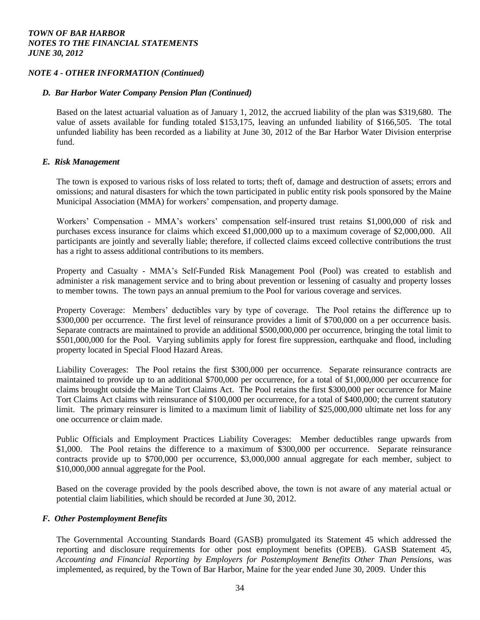## *NOTE 4 - OTHER INFORMATION (Continued)*

#### *D. Bar Harbor Water Company Pension Plan (Continued)*

Based on the latest actuarial valuation as of January 1, 2012, the accrued liability of the plan was \$319,680. The value of assets available for funding totaled \$153,175, leaving an unfunded liability of \$166,505. The total unfunded liability has been recorded as a liability at June 30, 2012 of the Bar Harbor Water Division enterprise fund.

#### *E. Risk Management*

The town is exposed to various risks of loss related to torts; theft of, damage and destruction of assets; errors and omissions; and natural disasters for which the town participated in public entity risk pools sponsored by the Maine Municipal Association (MMA) for workers' compensation, and property damage.

Workers' Compensation - MMA's workers' compensation self-insured trust retains \$1,000,000 of risk and purchases excess insurance for claims which exceed \$1,000,000 up to a maximum coverage of \$2,000,000. All participants are jointly and severally liable; therefore, if collected claims exceed collective contributions the trust has a right to assess additional contributions to its members.

Property and Casualty - MMA's Self-Funded Risk Management Pool (Pool) was created to establish and administer a risk management service and to bring about prevention or lessening of casualty and property losses to member towns. The town pays an annual premium to the Pool for various coverage and services.

Property Coverage: Members' deductibles vary by type of coverage. The Pool retains the difference up to \$300,000 per occurrence. The first level of reinsurance provides a limit of \$700,000 on a per occurrence basis. Separate contracts are maintained to provide an additional \$500,000,000 per occurrence, bringing the total limit to \$501,000,000 for the Pool. Varying sublimits apply for forest fire suppression, earthquake and flood, including property located in Special Flood Hazard Areas.

Liability Coverages: The Pool retains the first \$300,000 per occurrence. Separate reinsurance contracts are maintained to provide up to an additional \$700,000 per occurrence, for a total of \$1,000,000 per occurrence for claims brought outside the Maine Tort Claims Act. The Pool retains the first \$300,000 per occurrence for Maine Tort Claims Act claims with reinsurance of \$100,000 per occurrence, for a total of \$400,000; the current statutory limit. The primary reinsurer is limited to a maximum limit of liability of \$25,000,000 ultimate net loss for any one occurrence or claim made.

Public Officials and Employment Practices Liability Coverages: Member deductibles range upwards from \$1,000. The Pool retains the difference to a maximum of \$300,000 per occurrence. Separate reinsurance contracts provide up to \$700,000 per occurrence, \$3,000,000 annual aggregate for each member, subject to \$10,000,000 annual aggregate for the Pool.

Based on the coverage provided by the pools described above, the town is not aware of any material actual or potential claim liabilities, which should be recorded at June 30, 2012.

#### *F. Other Postemployment Benefits*

The Governmental Accounting Standards Board (GASB) promulgated its Statement 45 which addressed the reporting and disclosure requirements for other post employment benefits (OPEB). GASB Statement 45, *Accounting and Financial Reporting by Employers for Postemployment Benefits Other Than Pensions*, was implemented, as required, by the Town of Bar Harbor, Maine for the year ended June 30, 2009. Under this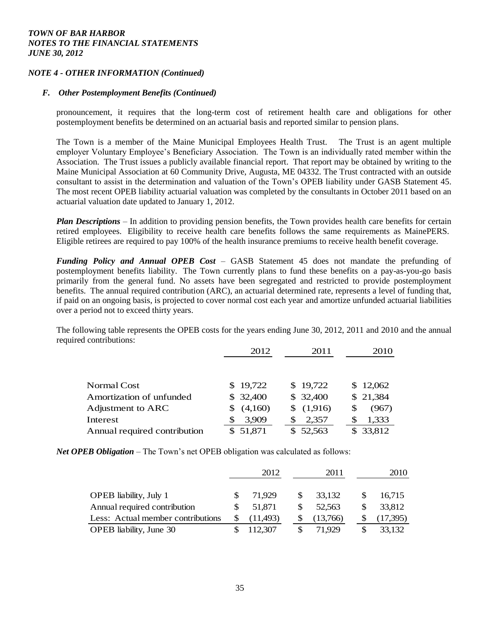#### *NOTE 4 - OTHER INFORMATION (Continued)*

#### *F. Other Postemployment Benefits (Continued)*

pronouncement, it requires that the long-term cost of retirement health care and obligations for other postemployment benefits be determined on an actuarial basis and reported similar to pension plans.

The Town is a member of the Maine Municipal Employees Health Trust. The Trust is an agent multiple employer Voluntary Employee's Beneficiary Association. The Town is an individually rated member within the Association. The Trust issues a publicly available financial report. That report may be obtained by writing to the Maine Municipal Association at 60 Community Drive, Augusta, ME 04332. The Trust contracted with an outside consultant to assist in the determination and valuation of the Town's OPEB liability under GASB Statement 45. The most recent OPEB liability actuarial valuation was completed by the consultants in October 2011 based on an actuarial valuation date updated to January 1, 2012.

*Plan Descriptions* – In addition to providing pension benefits, the Town provides health care benefits for certain retired employees. Eligibility to receive health care benefits follows the same requirements as MainePERS. Eligible retirees are required to pay 100% of the health insurance premiums to receive health benefit coverage.

*Funding Policy and Annual OPEB Cost* – GASB Statement 45 does not mandate the prefunding of postemployment benefits liability. The Town currently plans to fund these benefits on a pay-as-you-go basis primarily from the general fund. No assets have been segregated and restricted to provide postemployment benefits. The annual required contribution (ARC), an actuarial determined rate, represents a level of funding that, if paid on an ongoing basis, is projected to cover normal cost each year and amortize unfunded actuarial liabilities over a period not to exceed thirty years.

The following table represents the OPEB costs for the years ending June 30, 2012, 2011 and 2010 and the annual required contributions:

|                              | 2012     | 2011        | 2010        |
|------------------------------|----------|-------------|-------------|
|                              |          |             |             |
|                              |          |             |             |
| Normal Cost                  | \$19,722 | \$19,722    | \$12,062    |
| Amortization of unfunded     | \$32,400 | \$32,400    | \$21,384    |
| Adjustment to ARC            | (4,160)  | \$(1,916)   | (967)<br>\$ |
| Interest                     | 3,909    | 2,357<br>\$ | 1,333       |
| Annual required contribution | \$51,871 | 52,563      | \$33,812    |

*Net OPEB Obligation* – The Town's net OPEB obligation was calculated as follows:

|                                   | 2012     |     | 2011     |              | 2010     |
|-----------------------------------|----------|-----|----------|--------------|----------|
| <b>OPEB</b> liability, July 1     | 71,929   | S   | 33,132   | <sup>S</sup> | 16,715   |
| Annual required contribution      | 51,871   | \$. | 52,563   |              | 33,812   |
| Less: Actual member contributions | (11,493) |     | (13,766) |              | (17,395) |
| <b>OPEB</b> liability, June 30    | 112,307  |     | 71,929   |              | 33,132   |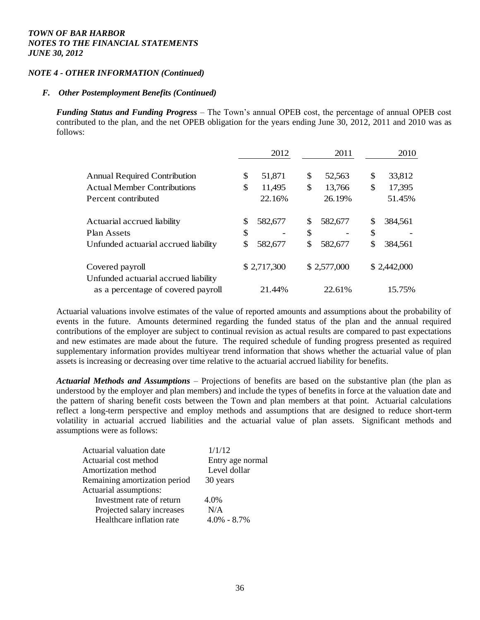## *NOTE 4 - OTHER INFORMATION (Continued)*

#### *F. Other Postemployment Benefits (Continued)*

*Funding Status and Funding Progress* – The Town's annual OPEB cost, the percentage of annual OPEB cost contributed to the plan, and the net OPEB obligation for the years ending June 30, 2012, 2011 and 2010 was as follows:

|                                      | 2012          | 2011          | 2010         |
|--------------------------------------|---------------|---------------|--------------|
| <b>Annual Required Contribution</b>  | \$<br>51,871  | \$<br>52,563  | \$<br>33,812 |
| <b>Actual Member Contributions</b>   | \$<br>11,495  | \$<br>13,766  | \$<br>17,395 |
| Percent contributed                  | 22.16%        | 26.19%        | 51.45%       |
| Actuarial accrued liability          | \$<br>582,677 | \$<br>582,677 | 384,561      |
| <b>Plan Assets</b>                   | \$            | \$            | \$           |
| Unfunded actuarial accrued liability | \$<br>582,677 | \$<br>582,677 | 384,561      |
| Covered payroll                      | \$2,717,300   | \$2,577,000   | \$2,442,000  |
| Unfunded actuarial accrued liability |               |               |              |
| as a percentage of covered payroll   | 21.44%        | 22.61%        | 15.75%       |

Actuarial valuations involve estimates of the value of reported amounts and assumptions about the probability of events in the future. Amounts determined regarding the funded status of the plan and the annual required contributions of the employer are subject to continual revision as actual results are compared to past expectations and new estimates are made about the future. The required schedule of funding progress presented as required supplementary information provides multiyear trend information that shows whether the actuarial value of plan assets is increasing or decreasing over time relative to the actuarial accrued liability for benefits.

*Actuarial Methods and Assumptions* – Projections of benefits are based on the substantive plan (the plan as understood by the employer and plan members) and include the types of benefits in force at the valuation date and the pattern of sharing benefit costs between the Town and plan members at that point. Actuarial calculations reflect a long-term perspective and employ methods and assumptions that are designed to reduce short-term volatility in actuarial accrued liabilities and the actuarial value of plan assets. Significant methods and assumptions were as follows:

| Actuarial valuation date      | 1/1/12           |
|-------------------------------|------------------|
| Actuarial cost method         | Entry age normal |
| Amortization method           | Level dollar     |
| Remaining amortization period | 30 years         |
| Actuarial assumptions:        |                  |
| Investment rate of return     | 4.0%             |
| Projected salary increases    | N/A              |
| Healthcare inflation rate     | $4.0\% - 8.7\%$  |